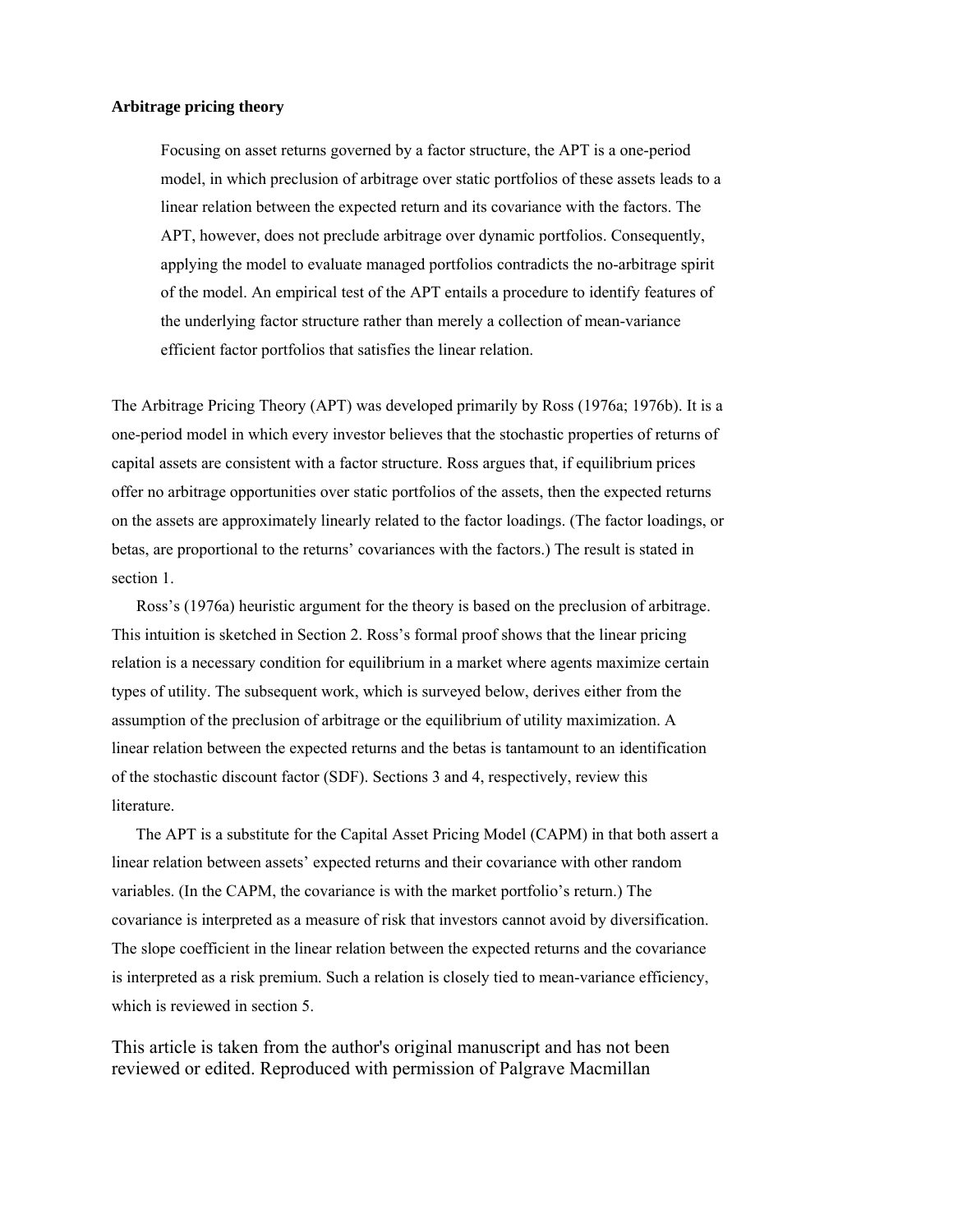# **Arbitrage pricing theory**

Focusing on asset returns governed by a factor structure, the APT is a one-period model, in which preclusion of arbitrage over static portfolios of these assets leads to a linear relation between the expected return and its covariance with the factors. The APT, however, does not preclude arbitrage over dynamic portfolios. Consequently, applying the model to evaluate managed portfolios contradicts the no-arbitrage spirit of the model. An empirical test of the APT entails a procedure to identify features of the underlying factor structure rather than merely a collection of mean-variance efficient factor portfolios that satisfies the linear relation.

The Arbitrage Pricing Theory (APT) was developed primarily by Ross (1976a; 1976b). It is a one-period model in which every investor believes that the stochastic properties of returns of capital assets are consistent with a factor structure. Ross argues that, if equilibrium prices offer no arbitrage opportunities over static portfolios of the assets, then the expected returns on the assets are approximately linearly related to the factor loadings. (The factor loadings, or betas, are proportional to the returns' covariances with the factors.) The result is stated in section 1.

Ross's (1976a) heuristic argument for the theory is based on the preclusion of arbitrage. This intuition is sketched in Section 2. Ross's formal proof shows that the linear pricing relation is a necessary condition for equilibrium in a market where agents maximize certain types of utility. The subsequent work, which is surveyed below, derives either from the assumption of the preclusion of arbitrage or the equilibrium of utility maximization. A linear relation between the expected returns and the betas is tantamount to an identification of the stochastic discount factor (SDF). Sections 3 and 4, respectively, review this literature.

The APT is a substitute for the Capital Asset Pricing Model (CAPM) in that both assert a linear relation between assets' expected returns and their covariance with other random variables. (In the CAPM, the covariance is with the market portfolio's return.) The covariance is interpreted as a measure of risk that investors cannot avoid by diversification. The slope coefficient in the linear relation between the expected returns and the covariance is interpreted as a risk premium. Such a relation is closely tied to mean-variance efficiency, which is reviewed in section 5.

This article is taken from the author's original manuscript and has not been reviewed or edited. Reproduced with permission of Palgrave Macmillan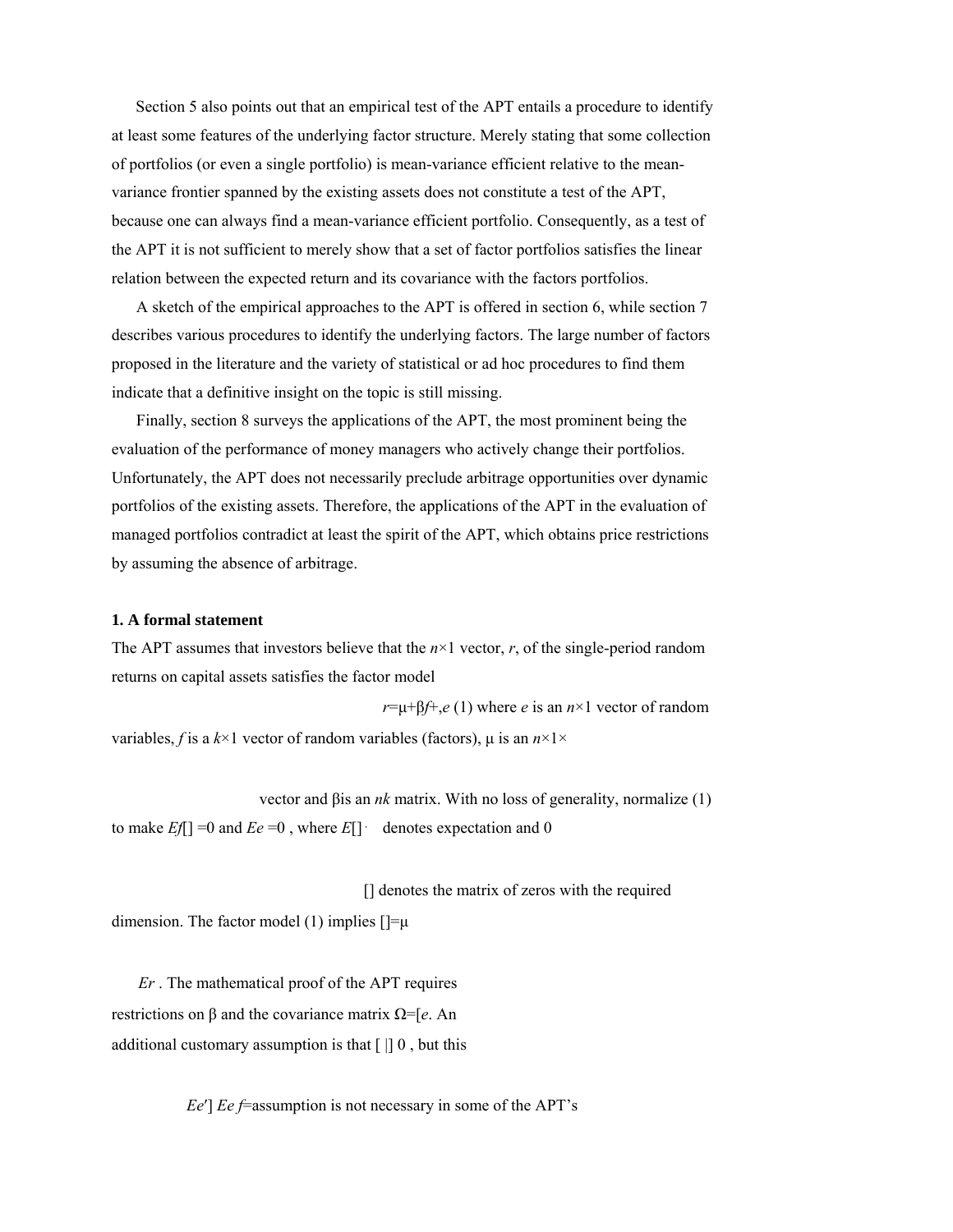Section 5 also points out that an empirical test of the APT entails a procedure to identify at least some features of the underlying factor structure. Merely stating that some collection of portfolios (or even a single portfolio) is mean-variance efficient relative to the meanvariance frontier spanned by the existing assets does not constitute a test of the APT, because one can always find a mean-variance efficient portfolio. Consequently, as a test of the APT it is not sufficient to merely show that a set of factor portfolios satisfies the linear relation between the expected return and its covariance with the factors portfolios.

A sketch of the empirical approaches to the APT is offered in section 6, while section 7 describes various procedures to identify the underlying factors. The large number of factors proposed in the literature and the variety of statistical or ad hoc procedures to find them indicate that a definitive insight on the topic is still missing.

Finally, section 8 surveys the applications of the APT, the most prominent being the evaluation of the performance of money managers who actively change their portfolios. Unfortunately, the APT does not necessarily preclude arbitrage opportunities over dynamic portfolios of the existing assets. Therefore, the applications of the APT in the evaluation of managed portfolios contradict at least the spirit of the APT, which obtains price restrictions by assuming the absence of arbitrage.

### **1. A formal statement**

The APT assumes that investors believe that the  $n \times 1$  vector,  $r$ , of the single-period random returns on capital assets satisfies the factor model

*r*=μ+β*f*+,*e* (1) where *e* is an *n*×1 vector of random variables, *f* is a *k*×1 vector of random variables (factors), μ is an *n*×1×

vector and βis an *nk* matrix. With no loss of generality, normalize (1)

to make *Ef*[] =0 and *Ee* =0 , where *E*[]⋅ denotes expectation and 0

[] denotes the matrix of zeros with the required

dimension. The factor model (1) implies []=μ

*Er* . The mathematical proof of the APT requires restrictions on β and the covariance matrix Ω=[*e*. An additional customary assumption is that  $\lceil \cdot \rceil$  0, but this

*Ee'*] *Ee*  $\neq$  assumption is not necessary in some of the APT's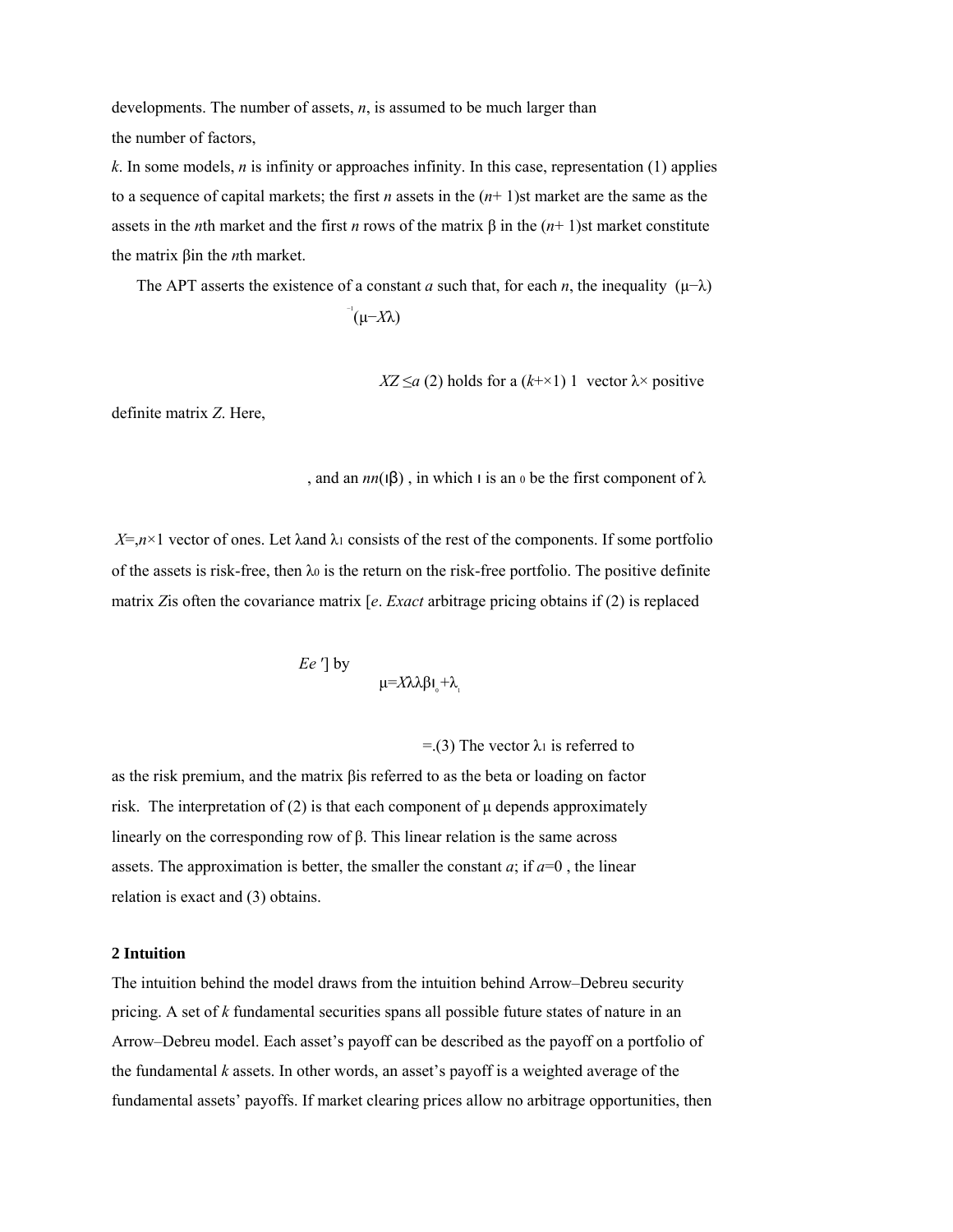developments. The number of assets, *n*, is assumed to be much larger than the number of factors,

*k*. In some models, *n* is infinity or approaches infinity. In this case, representation (1) applies to a sequence of capital markets; the first *n* assets in the (*n*+ 1)st market are the same as the assets in the *n*th market and the first *n* rows of the matrix β in the (*n*+ 1)st market constitute the matrix βin the *n*th market.

The APT asserts the existence of a constant *a* such that, for each *n*, the inequality ( $\mu$ – $\lambda$ ) −1 (μ−*X*λ)

 $XZ \leq a(2)$  holds for a  $(k+x)$  1 vector  $\lambda \times$  positive

definite matrix *Z*. Here,

, and an  $nn(\mathbf{I}\beta)$ , in which  $\mathbf{I}$  is an 0 be the first component of  $\lambda$ 

 $X=\eta \times 1$  vector of ones. Let  $\lambda$  and  $\lambda_1$  consists of the rest of the components. If some portfolio of the assets is risk-free, then  $\lambda_0$  is the return on the risk-free portfolio. The positive definite matrix *Z*is often the covariance matrix [*e*. *Exact* arbitrage pricing obtains if (2) is replaced

$$
Ee' \text{y by } \mu = X\lambda \lambda \beta I_0 + \lambda_1
$$

 $=$  (3) The vector  $\lambda_1$  is referred to

as the risk premium, and the matrix βis referred to as the beta or loading on factor risk. The interpretation of  $(2)$  is that each component of  $\mu$  depends approximately linearly on the corresponding row of β. This linear relation is the same across assets. The approximation is better, the smaller the constant  $a$ ; if  $a=0$ , the linear relation is exact and (3) obtains.

### **2 Intuition**

The intuition behind the model draws from the intuition behind Arrow–Debreu security pricing. A set of *k* fundamental securities spans all possible future states of nature in an Arrow–Debreu model. Each asset's payoff can be described as the payoff on a portfolio of the fundamental *k* assets. In other words, an asset's payoff is a weighted average of the fundamental assets' payoffs. If market clearing prices allow no arbitrage opportunities, then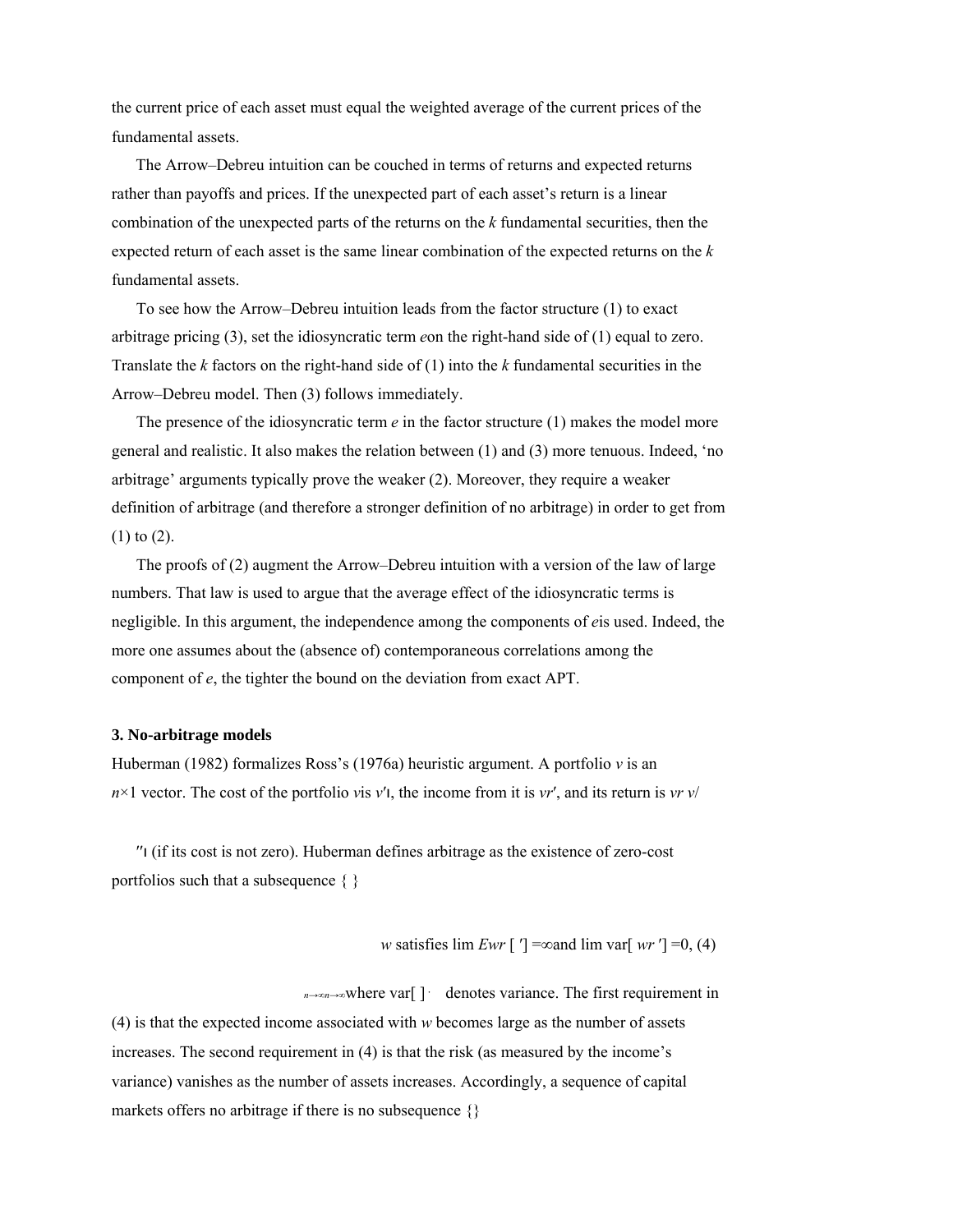the current price of each asset must equal the weighted average of the current prices of the fundamental assets.

The Arrow–Debreu intuition can be couched in terms of returns and expected returns rather than payoffs and prices. If the unexpected part of each asset's return is a linear combination of the unexpected parts of the returns on the *k* fundamental securities, then the expected return of each asset is the same linear combination of the expected returns on the *k* fundamental assets.

To see how the Arrow–Debreu intuition leads from the factor structure (1) to exact arbitrage pricing (3), set the idiosyncratic term *e*on the right-hand side of (1) equal to zero. Translate the *k* factors on the right-hand side of (1) into the *k* fundamental securities in the Arrow–Debreu model. Then (3) follows immediately.

The presence of the idiosyncratic term *e* in the factor structure (1) makes the model more general and realistic. It also makes the relation between (1) and (3) more tenuous. Indeed, 'no arbitrage' arguments typically prove the weaker (2). Moreover, they require a weaker definition of arbitrage (and therefore a stronger definition of no arbitrage) in order to get from (1) to (2).

The proofs of (2) augment the Arrow–Debreu intuition with a version of the law of large numbers. That law is used to argue that the average effect of the idiosyncratic terms is negligible. In this argument, the independence among the components of *e*is used. Indeed, the more one assumes about the (absence of) contemporaneous correlations among the component of *e*, the tighter the bound on the deviation from exact APT.

### **3. No-arbitrage models**

Huberman (1982) formalizes Ross's (1976a) heuristic argument. A portfolio *v* is an *n*×1 vector. The cost of the portfolio *v*is *v*′ı, the income from it is *vr*′, and its return is *vr v*/

′′ı (if its cost is not zero). Huberman defines arbitrage as the existence of zero-cost portfolios such that a subsequence { }

*w* satisfies  $\lim_{r \to \infty} E_{wr}$  [ ′] =∞and  $\lim_{r \to \infty} \frac{var}{r}$  *wr '*] =0, (4)

*n*→∞*n*→∞where var[] denotes variance. The first requirement in (4) is that the expected income associated with *w* becomes large as the number of assets increases. The second requirement in (4) is that the risk (as measured by the income's variance) vanishes as the number of assets increases. Accordingly, a sequence of capital markets offers no arbitrage if there is no subsequence {}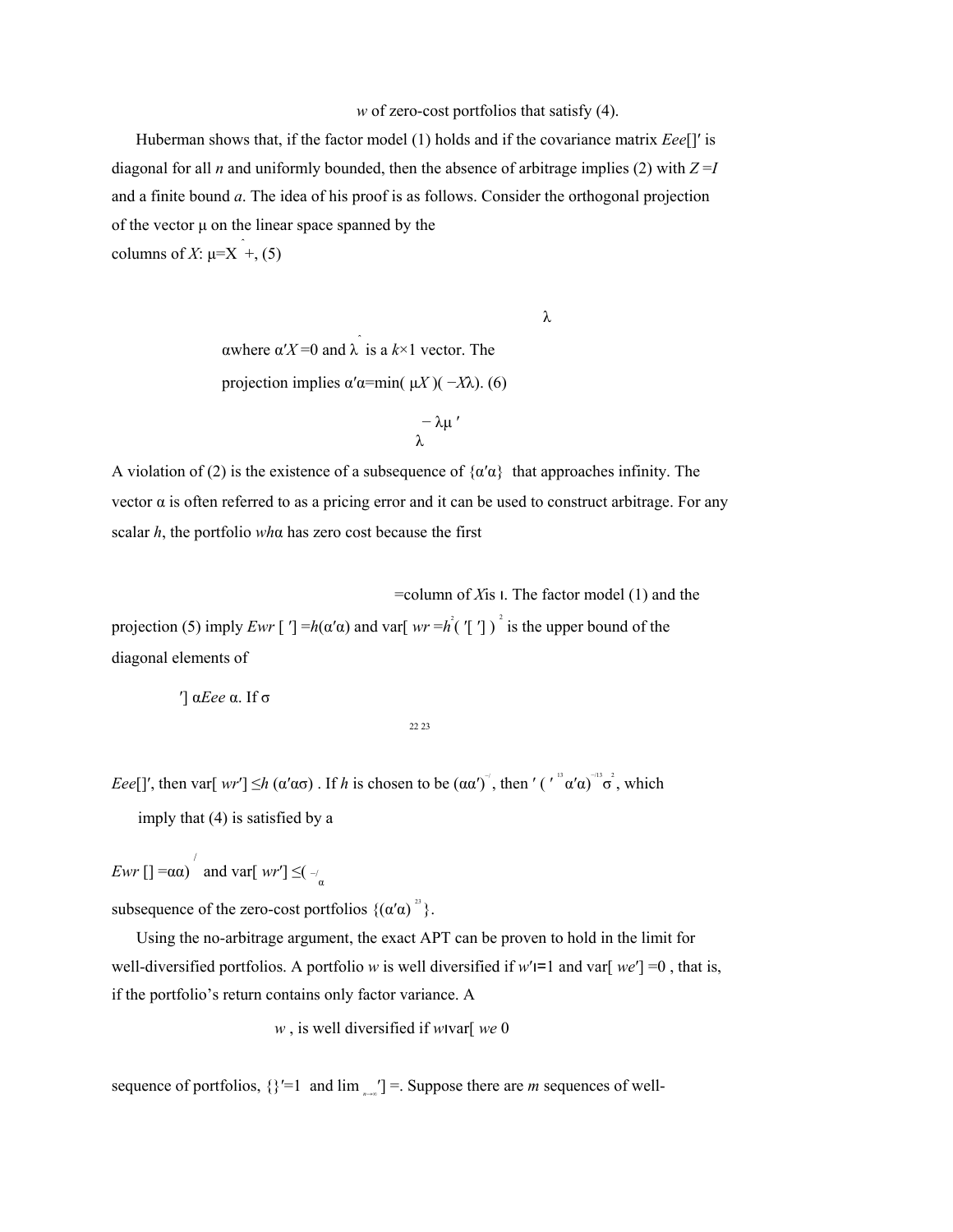*w* of zero-cost portfolios that satisfy (4).

Huberman shows that, if the factor model (1) holds and if the covariance matrix *Eee*[]′ is diagonal for all *n* and uniformly bounded, then the absence of arbitrage implies (2) with  $Z = I$ and a finite bound *a*. The idea of his proof is as follows. Consider the orthogonal projection of the vector μ on the linear space spanned by the columns of *X*:  $\mu = X + (5)$ 

> αwhere  $α'X=0$  and  $\lambda$  is a  $k\times1$  vector. The projection implies α′α=min( μ*X* )( −*X*λ). (6)

$$
_{\lambda }^{-\lambda \mu }\ ^{\prime }
$$

A violation of (2) is the existence of a subsequence of  $\{\alpha' \alpha\}$  that approaches infinity. The vector  $\alpha$  is often referred to as a pricing error and it can be used to construct arbitrage. For any scalar *h*, the portfolio *wh*α has zero cost because the first

=column of *X*is ı. The factor model (1) and the

λ

projection (5) imply *Ewr* ['] =  $h(\alpha' \alpha)$  and var[ *wr* =  $h^2$  ('['])<sup>2</sup> is the upper bound of the diagonal elements of

′] α*Eee* α. If σ

22 23

*Eee*[]', then var[  $wr'$ ]  $\leq h$  ( $\alpha' \alpha \sigma$ ). If *h* is chosen to be  $(\alpha \alpha')^7$ , then ' (' $\alpha' \alpha' \alpha' \alpha''$ )<sup>-13</sup> $\sigma^2$ , which

imply that (4) is satisfied by a

*Ewr* [] = $\alpha \alpha$ )  $\alpha$  and var[ *wr*']  $\leq$  (  $\alpha$ <sub> $\alpha$ </sub>

subsequence of the zero-cost portfolios  $\{(\alpha'\alpha)^{3}\}\.$ 

Using the no-arbitrage argument, the exact APT can be proven to hold in the limit for well-diversified portfolios. A portfolio *w* is well diversified if *w*' $=$ 1 and var[ *we*'] =0, that is, if the portfolio's return contains only factor variance. A

*w* , is well diversified if *w*ıvar[ *we* 0

sequence of portfolios,  $\{\}′=1$  and lim <sup>n</sup><sub>1</sub> = Suppose there are *m* sequences of well-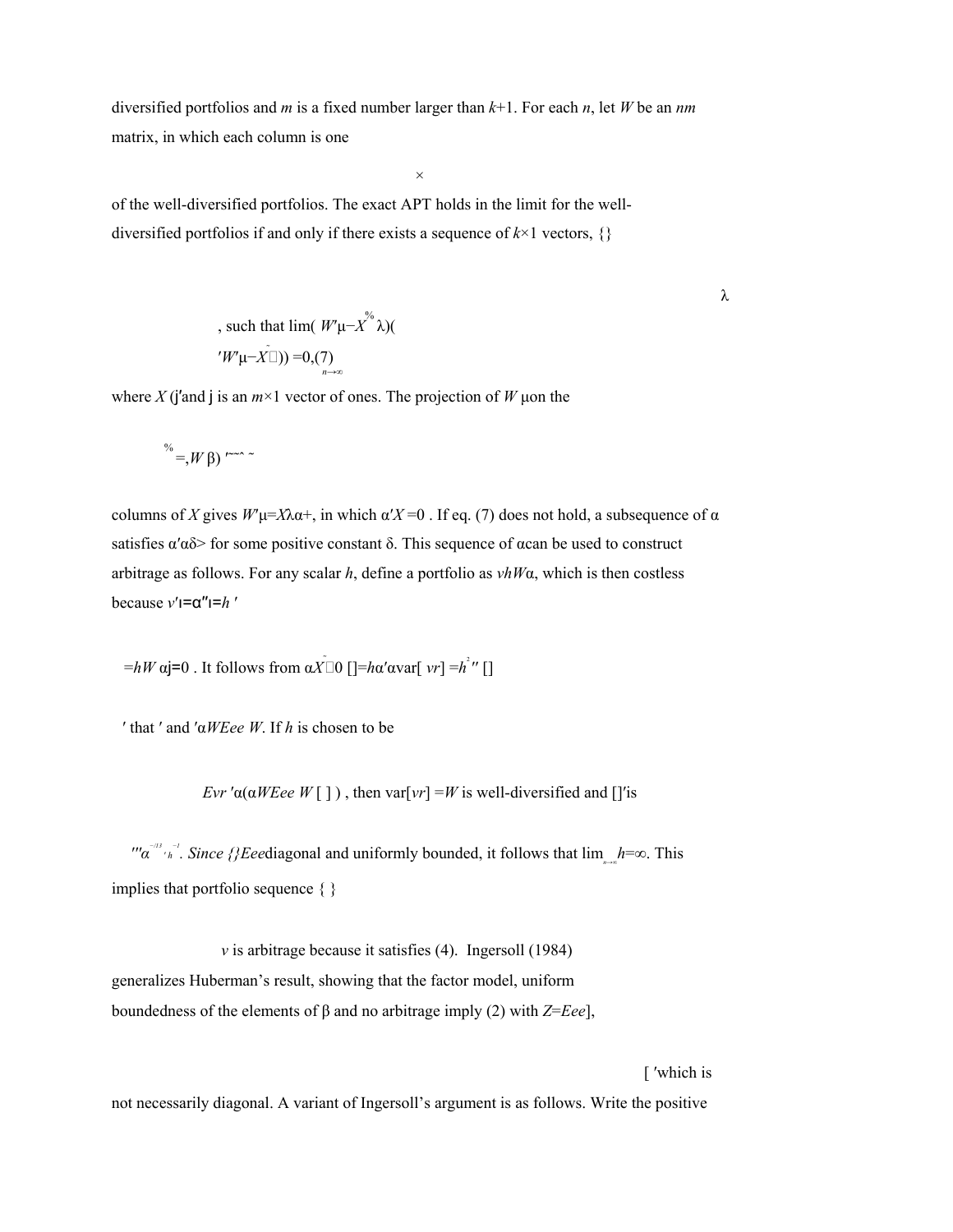diversified portfolios and *m* is a fixed number larger than *k*+1. For each *n*, let *W* be an *nm* matrix, in which each column is one

×

of the well-diversified portfolios. The exact APT holds in the limit for the welldiversified portfolios if and only if there exists a sequence of *k*×1 vectors, {}

> , such that lim(  $W<sup>ν</sup>μ<sup>−λ<sup>ν<sub>0</sub></sup>λ</sup>$ )( *′W*<sup>*'*</sup>μ−*X*<sup>*I*</sup><sub>*I*</sub>)) =0,(7)<sub>*n→∞</sub></sub></sub>*

where *X* (j'and j is an  $m \times 1$  vector of ones. The projection of *W* µon the

$$
^{\%} = W \beta) \sim
$$

columns of *X* gives  $W'\mu = X\lambda\alpha +$ , in which  $\alpha'X = 0$ . If eq. (7) does not hold, a subsequence of  $\alpha$ satisfies  $\alpha' \alpha \delta$  for some positive constant  $\delta$ . This sequence of  $\alpha$  can be used to construct arbitrage as follows. For any scalar *h*, define a portfolio as *vhW*α, which is then costless because *v*′ı=α′′ı=*h* ′

$$
=hW
$$
aj=0. It follows from  $\alpha X \square 0$  []= $h\alpha'\alpha$ var[  $\nu r$ ] = $h^2$  <sup>n</sup> [ ]

′ that ′ and ′α*WEee W*. If *h* is chosen to be

*Evr* ' $\alpha(\alpha WEee W \mid )$ , then var[*vr*] = *W* is well-diversified and []'is

*′′′α*<sup>*−/13*</sup> *n*<sup>-*1</sup>*. *Since {}Eeediagonal and uniformly bounded, it follows that lim<sub>n→∞</sub><i>h*=∞. This</sup> implies that portfolio sequence { }

*v* is arbitrage because it satisfies (4). Ingersoll (1984) generalizes Huberman's result, showing that the factor model, uniform boundedness of the elements of β and no arbitrage imply (2) with *Z*=*Eee*],

['which is

λ

not necessarily diagonal. A variant of Ingersoll's argument is as follows. Write the positive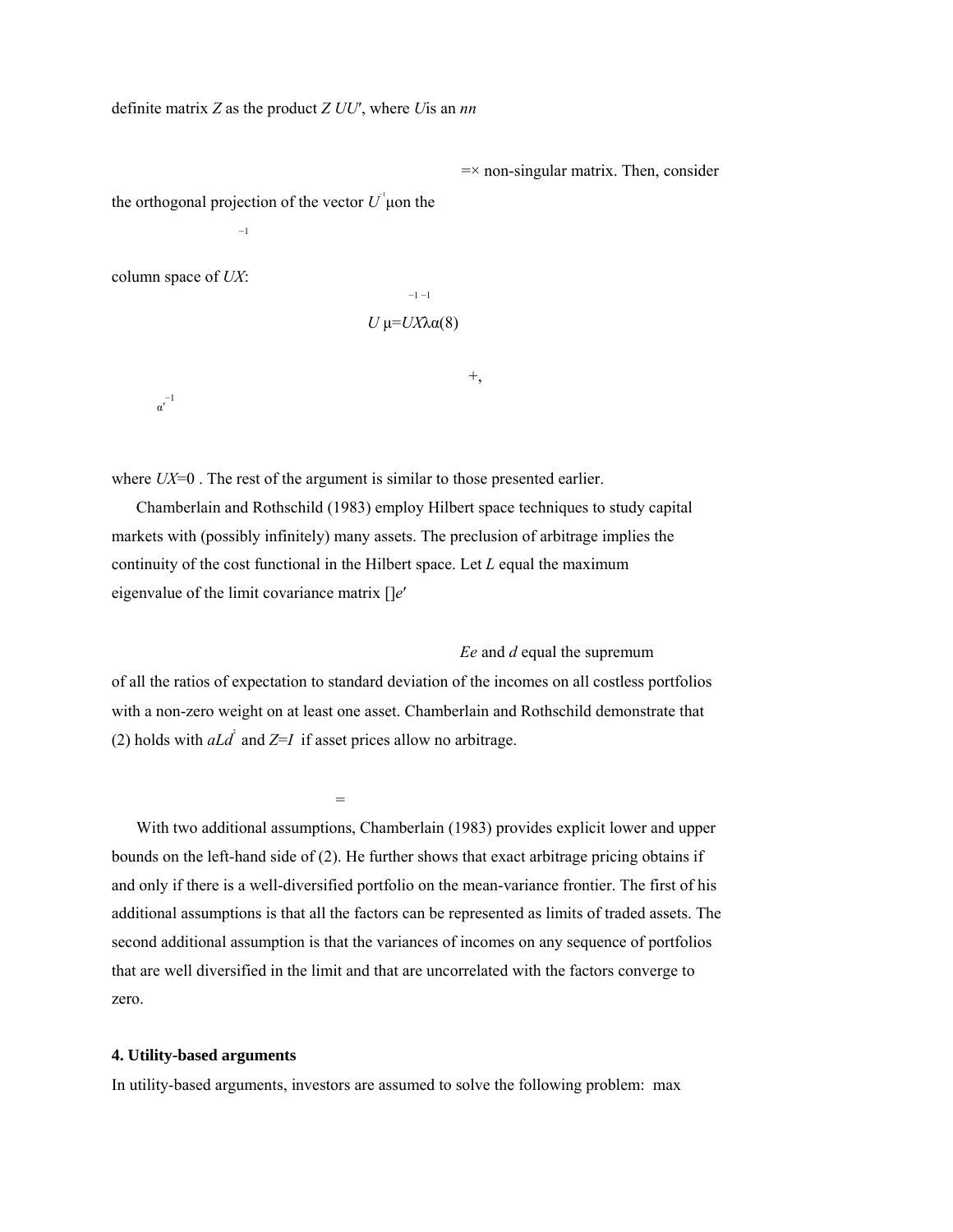definite matrix *Z* as the product *Z UU*′, where *U*is an *nn*

−1

 $=\times$  non-singular matrix. Then, consider the orthogonal projection of the vector  $U<sup>†</sup>$  µon the

column space of *UX*:

 $\alpha^{-1}$ 

$$
U \mu = U X \lambda \alpha(8)
$$

+,

where *UX*=0. The rest of the argument is similar to those presented earlier.

=

Chamberlain and Rothschild (1983) employ Hilbert space techniques to study capital markets with (possibly infinitely) many assets. The preclusion of arbitrage implies the continuity of the cost functional in the Hilbert space. Let *L* equal the maximum eigenvalue of the limit covariance matrix []*e*′

*Ee* and *d* equal the supremum

of all the ratios of expectation to standard deviation of the incomes on all costless portfolios with a non-zero weight on at least one asset. Chamberlain and Rothschild demonstrate that (2) holds with  $aL\hat{d}$  and  $Z=I$  if asset prices allow no arbitrage.

With two additional assumptions, Chamberlain (1983) provides explicit lower and upper bounds on the left-hand side of (2). He further shows that exact arbitrage pricing obtains if and only if there is a well-diversified portfolio on the mean-variance frontier. The first of his additional assumptions is that all the factors can be represented as limits of traded assets. The second additional assumption is that the variances of incomes on any sequence of portfolios that are well diversified in the limit and that are uncorrelated with the factors converge to zero.

### **4. Utility-based arguments**

In utility-based arguments, investors are assumed to solve the following problem: max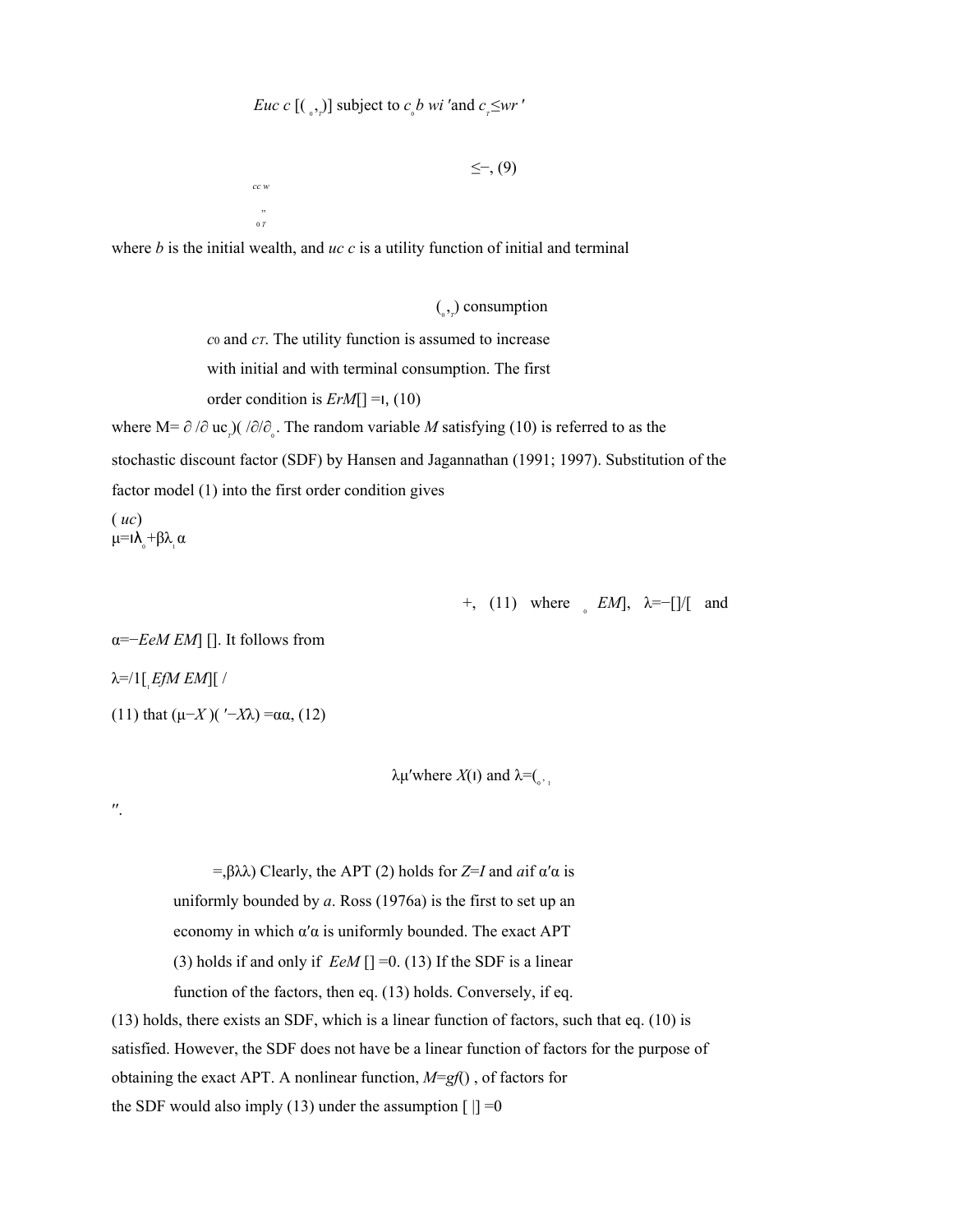*Luc* 
$$
c
$$
  $[(C_0, C_0)]$  subject to  $c_0$  *by vi 'and*  $c_r \leq wr'$ 

≤−, (9)

where *b* is the initial wealth, and *uc c* is a utility function of initial and terminal

# $\binom{0, r}{r}$  consumption

*c*0 and *cT*. The utility function is assumed to increase with initial and with terminal consumption. The first order condition is *ErM*[] =ı, (10)

where M=  $\partial/\partial$  uc<sub>r</sub>)( $/\partial/\partial$ <sub>0</sub>. The random variable *M* satisfying (10) is referred to as the stochastic discount factor (SDF) by Hansen and Jagannathan (1991; 1997). Substitution of the

factor model (1) into the first order condition gives

*cc w*  ,, 0 *T* 

( *uc*) μ=ιλ $_{0}^{+}$  $+$ βλ $_{1}^{0}$ α

+, (11) where  $EM$ ,  $\lambda = -1$ []/[ and

α=−*EeM EM*] []. It follows from

λ=/1[<sub>,</sub>*EfM EM*][ /

(11) that (μ−*X*)( $'$ −*X*λ) =αα, (12)

 $\lambda$ μ'where  $X(1)$  and  $\lambda = \int_{0.5}$ 

 $^{\prime\prime}$ .

=,βλλ) Clearly, the APT (2) holds for *Z*=*I* and *a*if α′α is uniformly bounded by *a*. Ross (1976a) is the first to set up an economy in which  $\alpha' \alpha$  is uniformly bounded. The exact APT (3) holds if and only if  $EeM$   $\vert$  =0. (13) If the SDF is a linear function of the factors, then eq. (13) holds. Conversely, if eq.

(13) holds, there exists an SDF, which is a linear function of factors, such that eq. (10) is satisfied. However, the SDF does not have be a linear function of factors for the purpose of obtaining the exact APT. A nonlinear function, *M*=*gf*() , of factors for the SDF would also imply (13) under the assumption  $[ \ ] = 0$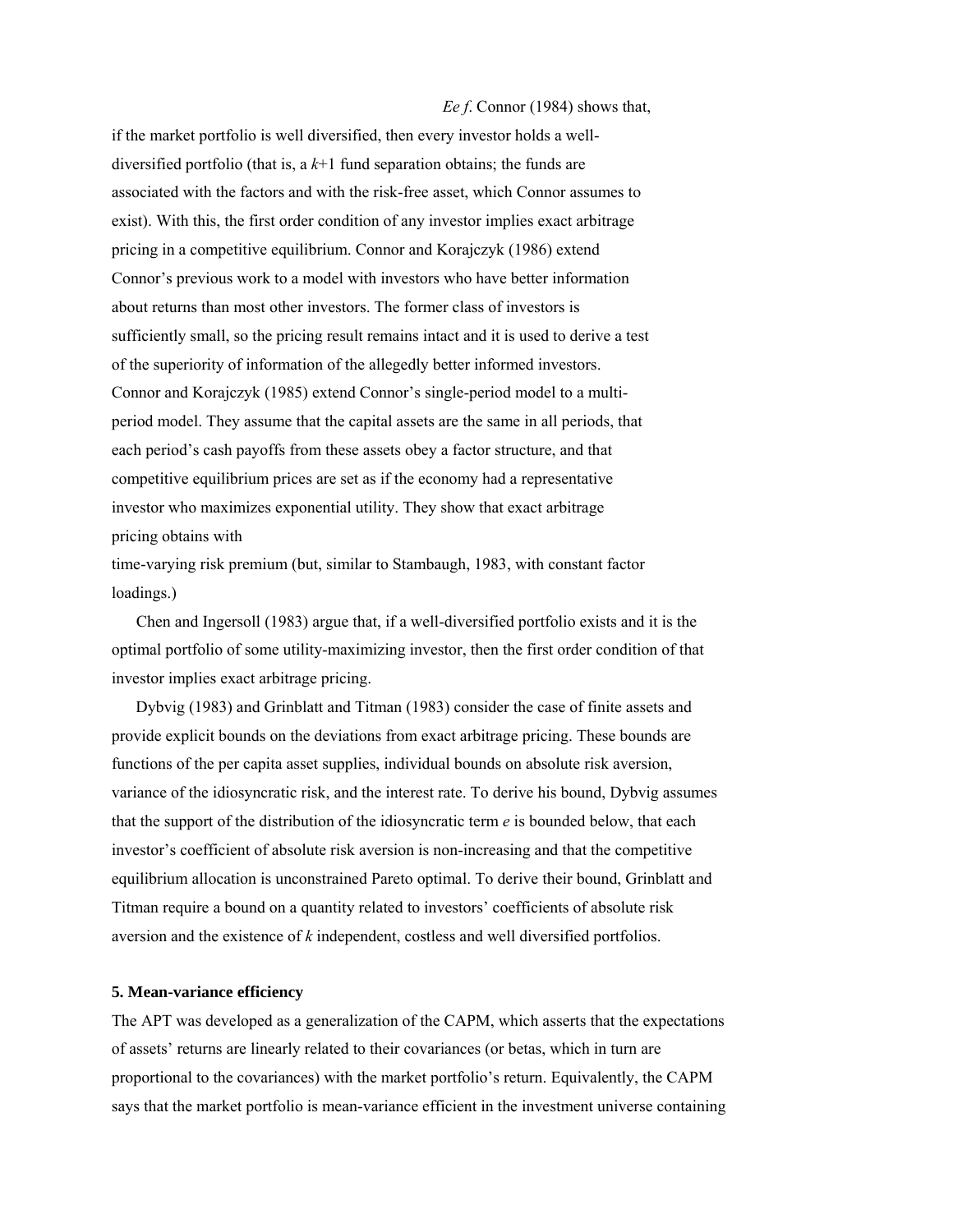#### *Ee f*. Connor (1984) shows that,

if the market portfolio is well diversified, then every investor holds a welldiversified portfolio (that is, a *k*+1 fund separation obtains; the funds are associated with the factors and with the risk-free asset, which Connor assumes to exist). With this, the first order condition of any investor implies exact arbitrage pricing in a competitive equilibrium. Connor and Korajczyk (1986) extend Connor's previous work to a model with investors who have better information about returns than most other investors. The former class of investors is sufficiently small, so the pricing result remains intact and it is used to derive a test of the superiority of information of the allegedly better informed investors. Connor and Korajczyk (1985) extend Connor's single-period model to a multiperiod model. They assume that the capital assets are the same in all periods, that each period's cash payoffs from these assets obey a factor structure, and that competitive equilibrium prices are set as if the economy had a representative investor who maximizes exponential utility. They show that exact arbitrage pricing obtains with

time-varying risk premium (but, similar to Stambaugh, 1983, with constant factor loadings.)

Chen and Ingersoll (1983) argue that, if a well-diversified portfolio exists and it is the optimal portfolio of some utility-maximizing investor, then the first order condition of that investor implies exact arbitrage pricing.

Dybvig (1983) and Grinblatt and Titman (1983) consider the case of finite assets and provide explicit bounds on the deviations from exact arbitrage pricing. These bounds are functions of the per capita asset supplies, individual bounds on absolute risk aversion, variance of the idiosyncratic risk, and the interest rate. To derive his bound, Dybvig assumes that the support of the distribution of the idiosyncratic term *e* is bounded below, that each investor's coefficient of absolute risk aversion is non-increasing and that the competitive equilibrium allocation is unconstrained Pareto optimal. To derive their bound, Grinblatt and Titman require a bound on a quantity related to investors' coefficients of absolute risk aversion and the existence of *k* independent, costless and well diversified portfolios.

# **5. Mean-variance efficiency**

The APT was developed as a generalization of the CAPM, which asserts that the expectations of assets' returns are linearly related to their covariances (or betas, which in turn are proportional to the covariances) with the market portfolio's return. Equivalently, the CAPM says that the market portfolio is mean-variance efficient in the investment universe containing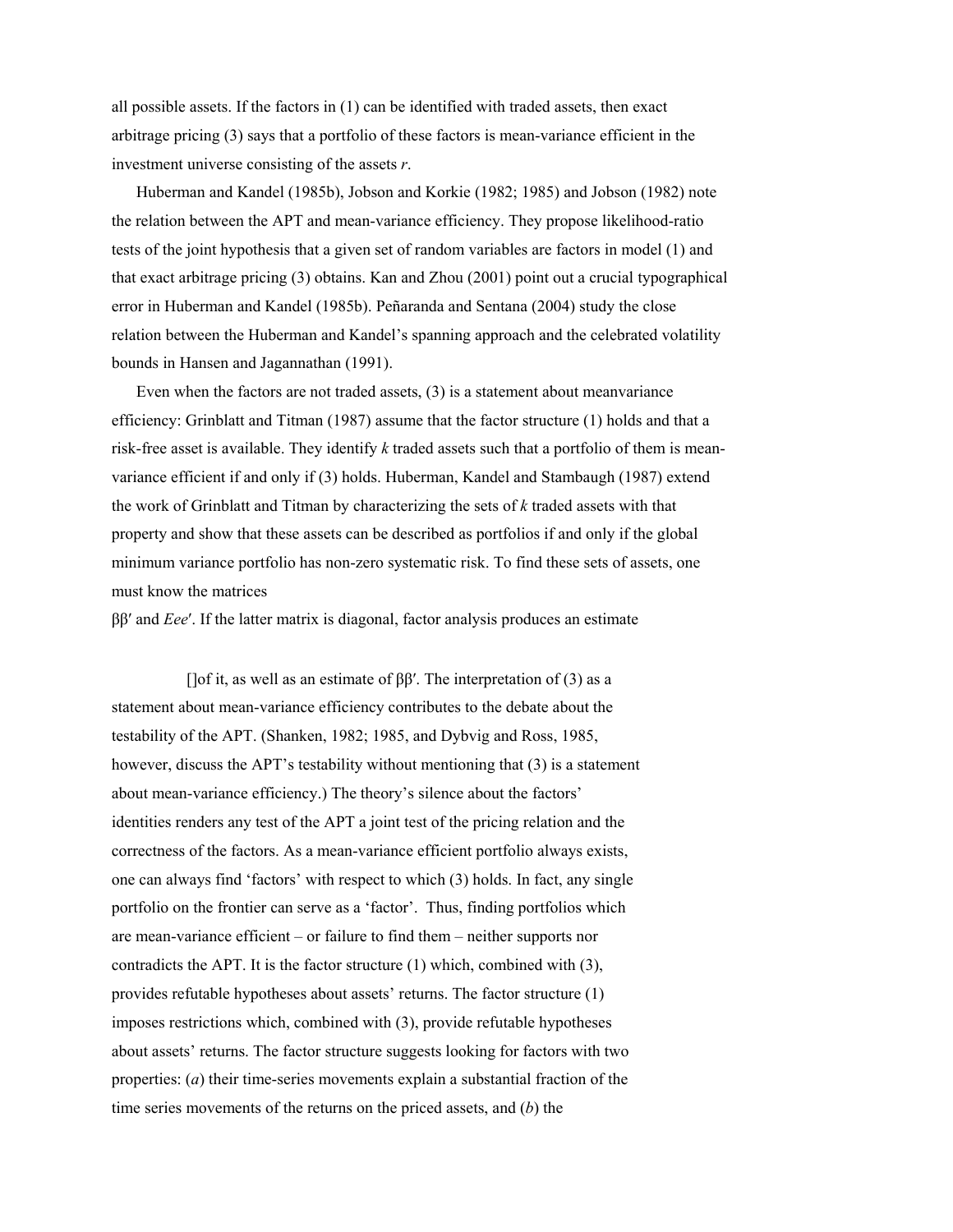all possible assets. If the factors in (1) can be identified with traded assets, then exact arbitrage pricing (3) says that a portfolio of these factors is mean-variance efficient in the investment universe consisting of the assets *r*.

Huberman and Kandel (1985b), Jobson and Korkie (1982; 1985) and Jobson (1982) note the relation between the APT and mean-variance efficiency. They propose likelihood-ratio tests of the joint hypothesis that a given set of random variables are factors in model (1) and that exact arbitrage pricing (3) obtains. Kan and Zhou (2001) point out a crucial typographical error in Huberman and Kandel (1985b). Peñaranda and Sentana (2004) study the close relation between the Huberman and Kandel's spanning approach and the celebrated volatility bounds in Hansen and Jagannathan (1991).

Even when the factors are not traded assets, (3) is a statement about meanvariance efficiency: Grinblatt and Titman (1987) assume that the factor structure (1) holds and that a risk-free asset is available. They identify *k* traded assets such that a portfolio of them is meanvariance efficient if and only if (3) holds. Huberman, Kandel and Stambaugh (1987) extend the work of Grinblatt and Titman by characterizing the sets of *k* traded assets with that property and show that these assets can be described as portfolios if and only if the global minimum variance portfolio has non-zero systematic risk. To find these sets of assets, one must know the matrices

ββ′ and *Eee*′. If the latter matrix is diagonal, factor analysis produces an estimate

[]of it, as well as an estimate of  $\beta\beta'$ . The interpretation of (3) as a statement about mean-variance efficiency contributes to the debate about the testability of the APT. (Shanken, 1982; 1985, and Dybvig and Ross, 1985, however, discuss the APT's testability without mentioning that (3) is a statement about mean-variance efficiency.) The theory's silence about the factors' identities renders any test of the APT a joint test of the pricing relation and the correctness of the factors. As a mean-variance efficient portfolio always exists, one can always find 'factors' with respect to which (3) holds. In fact, any single portfolio on the frontier can serve as a 'factor'. Thus, finding portfolios which are mean-variance efficient – or failure to find them – neither supports nor contradicts the APT. It is the factor structure (1) which, combined with (3), provides refutable hypotheses about assets' returns. The factor structure (1) imposes restrictions which, combined with (3), provide refutable hypotheses about assets' returns. The factor structure suggests looking for factors with two properties: (*a*) their time-series movements explain a substantial fraction of the time series movements of the returns on the priced assets, and (*b*) the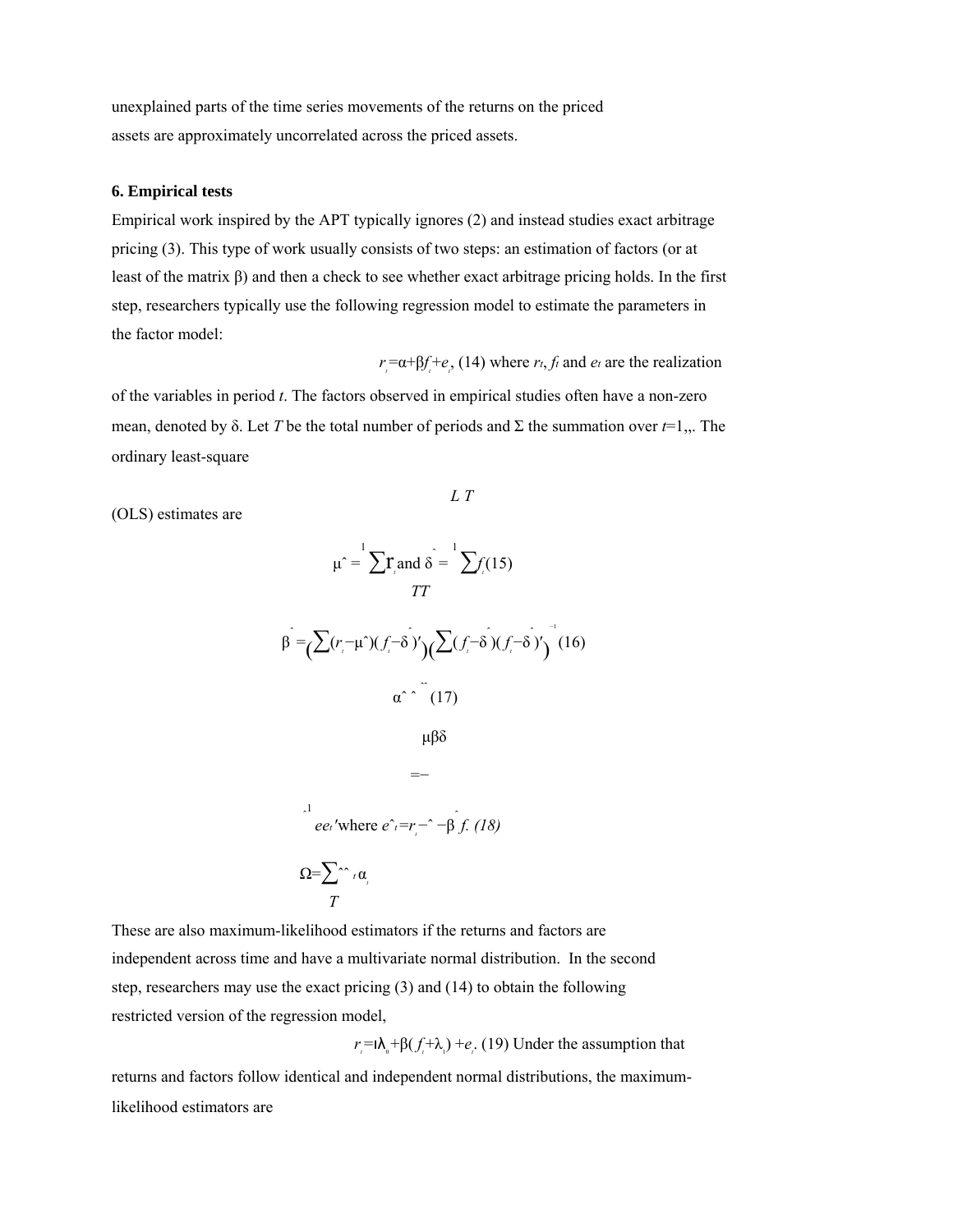unexplained parts of the time series movements of the returns on the priced assets are approximately uncorrelated across the priced assets.

# **6. Empirical tests**

Empirical work inspired by the APT typically ignores (2) and instead studies exact arbitrage pricing (3). This type of work usually consists of two steps: an estimation of factors (or at least of the matrix β) and then a check to see whether exact arbitrage pricing holds. In the first step, researchers typically use the following regression model to estimate the parameters in the factor model:

 $r_{\tau} = \alpha + \beta f_{\tau} + e_{\tau}$ , (14) where  $r_t, f_t$  and  $e_t$  are the realization

of the variables in period *t*. The factors observed in empirical studies often have a non-zero mean, denoted by δ. Let *T* be the total number of periods and Σ the summation over *t*=1,,. The ordinary least-square

*L T* 

(OLS) estimates are

$$
\mu^{\circ} = \sum_{i=1}^{n} \sum_{j=1}^{n} \sum_{j=1}^{n} f_{j}(15)
$$
  
\n
$$
\mu^{\circ} = \sum_{i=1}^{n} (r_{i} - \mu^{\circ})(f_{i} - \delta)^{i} \left( \sum_{j=1}^{n} (f_{j} - \delta)(f_{j} - \delta)^{j} \right)^{-1} (16)
$$
  
\n
$$
\alpha^{\circ} \left( \frac{\pi}{17} \right)
$$
  
\n
$$
\mu \beta \delta
$$
  
\n
$$
= -\frac{\pi}{2}
$$
  
\n
$$
\mu \beta \delta
$$
  
\n
$$
\Omega = \sum_{j=1}^{n} \alpha_{j} \alpha_{j}
$$
  
\n
$$
\mu \beta \delta
$$
  
\n
$$
\Omega = \sum_{j=1}^{n} \alpha_{j} \alpha_{j}
$$
  
\n
$$
\mu \beta \delta
$$
  
\n
$$
\Omega = \sum_{j=1}^{n} \alpha_{j} \alpha_{j}
$$
  
\n
$$
\mu \beta \delta
$$
  
\n
$$
\Omega = \sum_{j=1}^{n} \alpha_{j} \alpha_{j}
$$

These are also maximum-likelihood estimators if the returns and factors are independent across time and have a multivariate normal distribution. In the second step, researchers may use the exact pricing (3) and (14) to obtain the following restricted version of the regression model,

 $r_{\tau} = \mathsf{i} \lambda_{\rho} + \beta(f_{\tau} + \lambda_{\rho}) + e_{\tau}$ . (19) Under the assumption that

returns and factors follow identical and independent normal distributions, the maximumlikelihood estimators are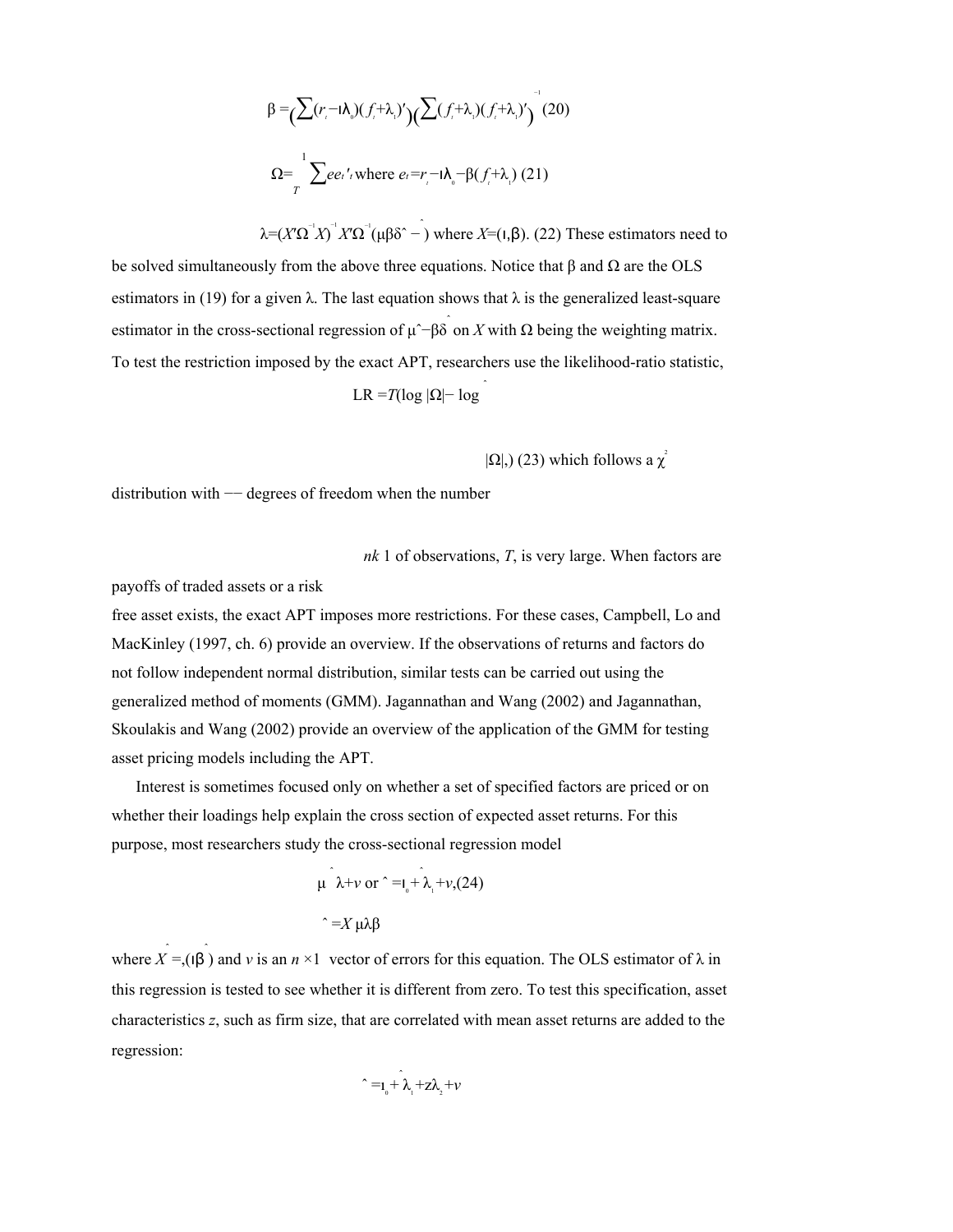$$
\beta = \left(\sum (r_{i} - \mathbf{i}\lambda_{0})(f_{i} + \lambda_{i})'\right)\left(\sum (f_{i} + \lambda_{i})(f_{i} + \lambda_{i})'\right)^{-1}(20)
$$

$$
\Omega = \sum_{i} \sum e e_{i} \text{ (where } e_{i} = r_{i} - \mathbf{i}\lambda_{0} - \beta(f_{i} + \lambda_{i}) (21)
$$

 $λ=(X'Ω<sup>-1</sup>X)<sup>-1</sup>X'Ω<sup>-1</sup>(μβδ<sup>^</sup>−)$  where *X*=(**i**,β). (22) These estimators need to

be solved simultaneously from the above three equations. Notice that  $\beta$  and  $\Omega$  are the OLS estimators in (19) for a given  $\lambda$ . The last equation shows that  $\lambda$  is the generalized least-square estimator in the cross-sectional regression of  $\mu \hat{-} \beta \hat{\delta}$  on *X* with Ω being the weighting matrix. To test the restriction imposed by the exact APT, researchers use the likelihood-ratio statistic,

$$
LR = T(\log |\Omega| - \log^2)
$$

 $|\Omega|$ ,) (23) which follows a  $\chi^2$ 

distribution with −− degrees of freedom when the number

*nk* 1 of observations, *T*, is very large. When factors are

payoffs of traded assets or a risk

free asset exists, the exact APT imposes more restrictions. For these cases, Campbell, Lo and MacKinley (1997, ch. 6) provide an overview. If the observations of returns and factors do not follow independent normal distribution, similar tests can be carried out using the generalized method of moments (GMM). Jagannathan and Wang (2002) and Jagannathan, Skoulakis and Wang (2002) provide an overview of the application of the GMM for testing asset pricing models including the APT.

Interest is sometimes focused only on whether a set of specified factors are priced or on whether their loadings help explain the cross section of expected asset returns. For this purpose, most researchers study the cross-sectional regression model

$$
\mu \hat{\lambda} + \nu \text{ or } \hat{\lambda} = I_0 + \hat{\lambda} + \nu, (24)
$$

$$
\hat{\lambda} = X \mu \lambda \beta
$$

where  $\hat{X} = (1, \hat{\beta})$  and *v* is an  $n \times 1$  vector of errors for this equation. The OLS estimator of  $\lambda$  in this regression is tested to see whether it is different from zero. To test this specification, asset characteristics *z*, such as firm size, that are correlated with mean asset returns are added to the regression:

$$
\hat{I} = I_0 + \hat{\lambda}_1 + Z\lambda_2 + \nu
$$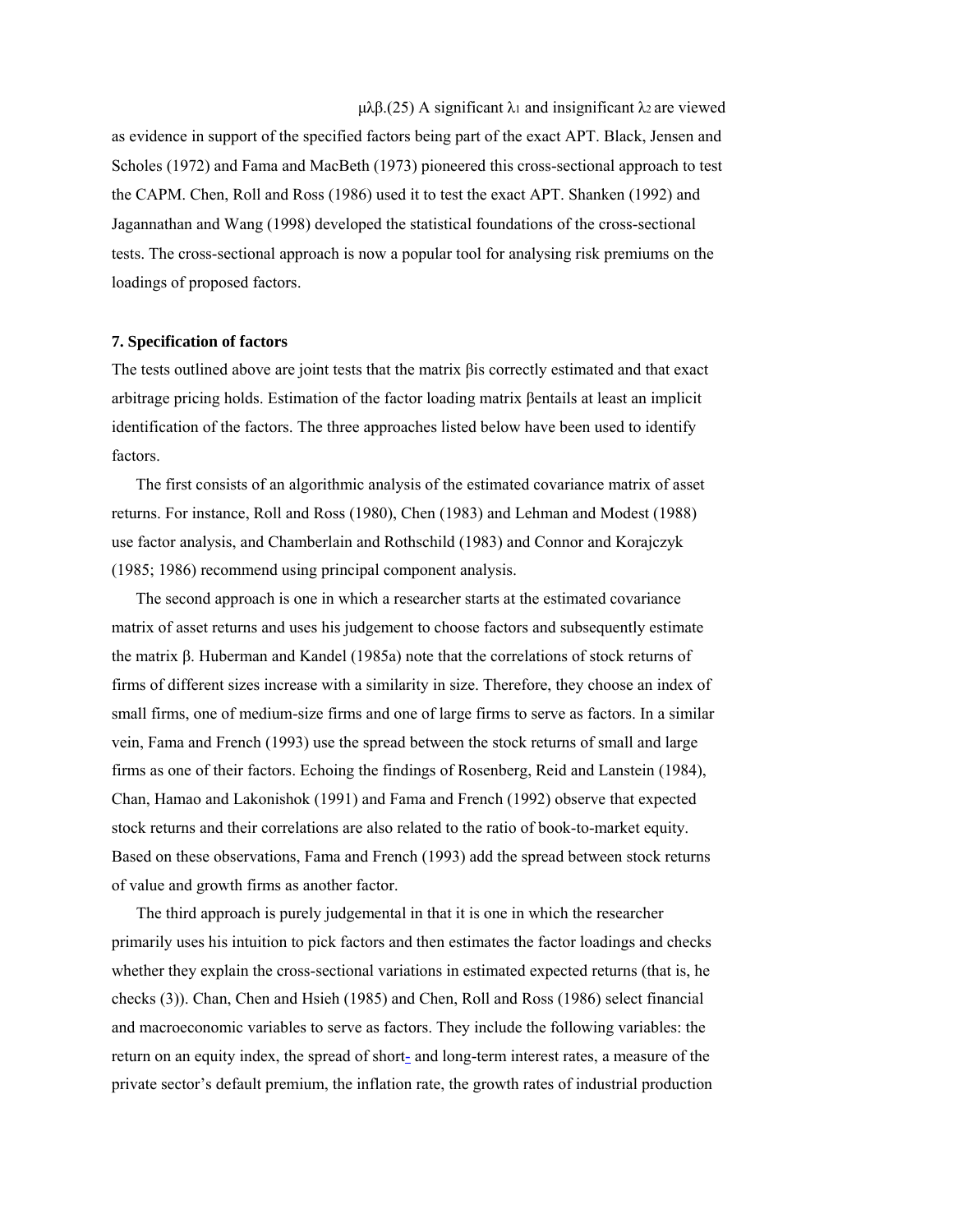μλβ.(25) A significant  $\lambda_1$  and insignificant  $\lambda_2$  are viewed

as evidence in support of the specified factors being part of the exact APT. Black, Jensen and Scholes (1972) and Fama and MacBeth (1973) pioneered this cross-sectional approach to test the CAPM. Chen, Roll and Ross (1986) used it to test the exact APT. Shanken (1992) and Jagannathan and Wang (1998) developed the statistical foundations of the cross-sectional tests. The cross-sectional approach is now a popular tool for analysing risk premiums on the loadings of proposed factors.

# **7. Specification of factors**

The tests outlined above are joint tests that the matrix βis correctly estimated and that exact arbitrage pricing holds. Estimation of the factor loading matrix βentails at least an implicit identification of the factors. The three approaches listed below have been used to identify factors.

The first consists of an algorithmic analysis of the estimated covariance matrix of asset returns. For instance, Roll and Ross (1980), Chen (1983) and Lehman and Modest (1988) use factor analysis, and Chamberlain and Rothschild (1983) and Connor and Korajczyk (1985; 1986) recommend using principal component analysis.

The second approach is one in which a researcher starts at the estimated covariance matrix of asset returns and uses his judgement to choose factors and subsequently estimate the matrix β. Huberman and Kandel (1985a) note that the correlations of stock returns of firms of different sizes increase with a similarity in size. Therefore, they choose an index of small firms, one of medium-size firms and one of large firms to serve as factors. In a similar vein, Fama and French (1993) use the spread between the stock returns of small and large firms as one of their factors. Echoing the findings of Rosenberg, Reid and Lanstein (1984), Chan, Hamao and Lakonishok (1991) and Fama and French (1992) observe that expected stock returns and their correlations are also related to the ratio of book-to-market equity. Based on these observations, Fama and French (1993) add the spread between stock returns of value and growth firms as another factor.

The third approach is purely judgemental in that it is one in which the researcher primarily uses his intuition to pick factors and then estimates the factor loadings and checks whether they explain the cross-sectional variations in estimated expected returns (that is, he checks (3)). Chan, Chen and Hsieh (1985) and Chen, Roll and Ross (1986) select financial and macroeconomic variables to serve as factors. They include the following variables: the return on an equity index, the spread of short- and long-term interest rates, a measure of the private sector's default premium, the inflation rate, the growth rates of industrial production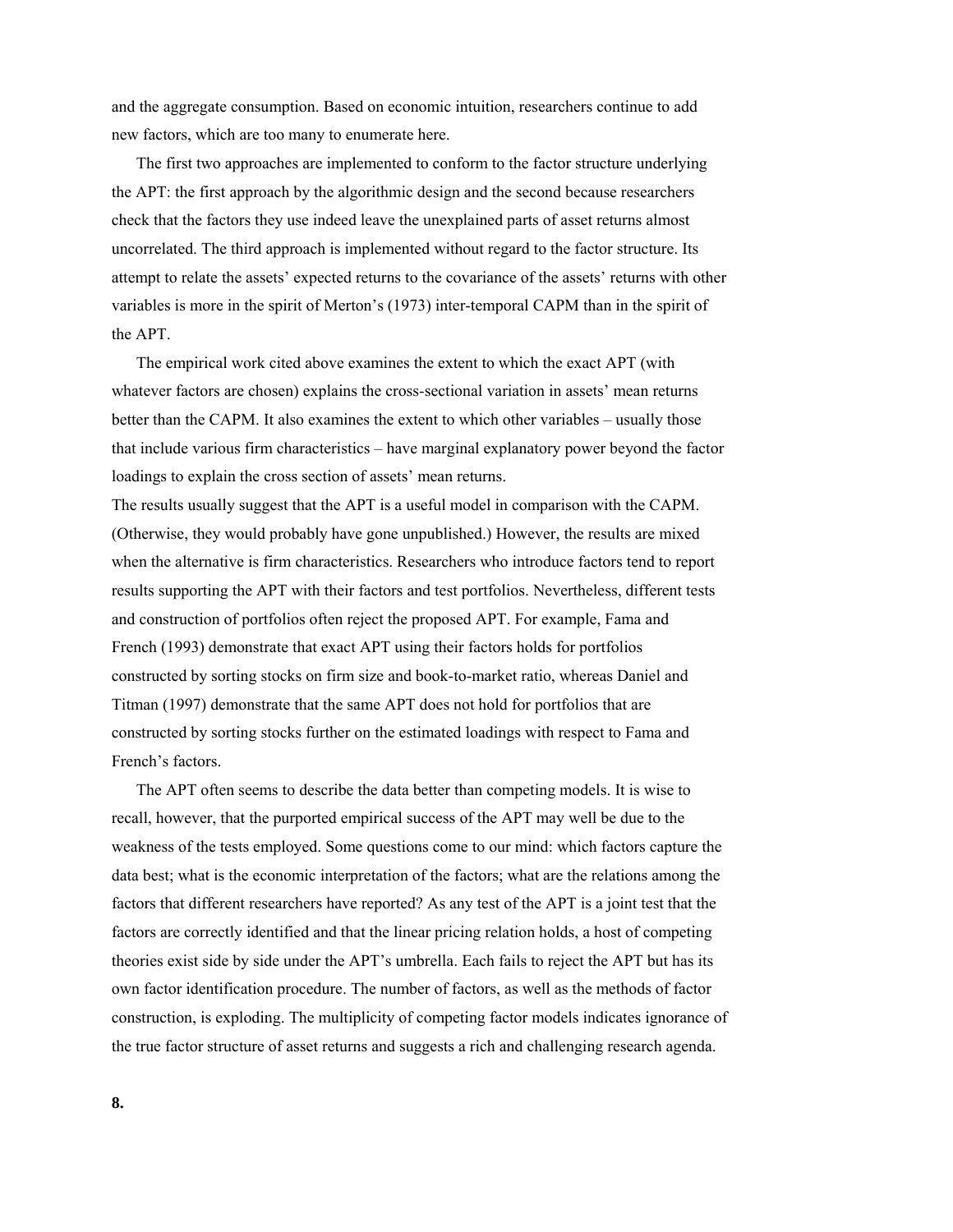and the aggregate consumption. Based on economic intuition, researchers continue to add new factors, which are too many to enumerate here.

The first two approaches are implemented to conform to the factor structure underlying the APT: the first approach by the algorithmic design and the second because researchers check that the factors they use indeed leave the unexplained parts of asset returns almost uncorrelated. The third approach is implemented without regard to the factor structure. Its attempt to relate the assets' expected returns to the covariance of the assets' returns with other variables is more in the spirit of Merton's (1973) inter-temporal CAPM than in the spirit of the APT.

The empirical work cited above examines the extent to which the exact APT (with whatever factors are chosen) explains the cross-sectional variation in assets' mean returns better than the CAPM. It also examines the extent to which other variables – usually those that include various firm characteristics – have marginal explanatory power beyond the factor loadings to explain the cross section of assets' mean returns.

The results usually suggest that the APT is a useful model in comparison with the CAPM. (Otherwise, they would probably have gone unpublished.) However, the results are mixed when the alternative is firm characteristics. Researchers who introduce factors tend to report results supporting the APT with their factors and test portfolios. Nevertheless, different tests and construction of portfolios often reject the proposed APT. For example, Fama and French (1993) demonstrate that exact APT using their factors holds for portfolios constructed by sorting stocks on firm size and book-to-market ratio, whereas Daniel and Titman (1997) demonstrate that the same APT does not hold for portfolios that are constructed by sorting stocks further on the estimated loadings with respect to Fama and French's factors.

The APT often seems to describe the data better than competing models. It is wise to recall, however, that the purported empirical success of the APT may well be due to the weakness of the tests employed. Some questions come to our mind: which factors capture the data best; what is the economic interpretation of the factors; what are the relations among the factors that different researchers have reported? As any test of the APT is a joint test that the factors are correctly identified and that the linear pricing relation holds, a host of competing theories exist side by side under the APT's umbrella. Each fails to reject the APT but has its own factor identification procedure. The number of factors, as well as the methods of factor construction, is exploding. The multiplicity of competing factor models indicates ignorance of the true factor structure of asset returns and suggests a rich and challenging research agenda.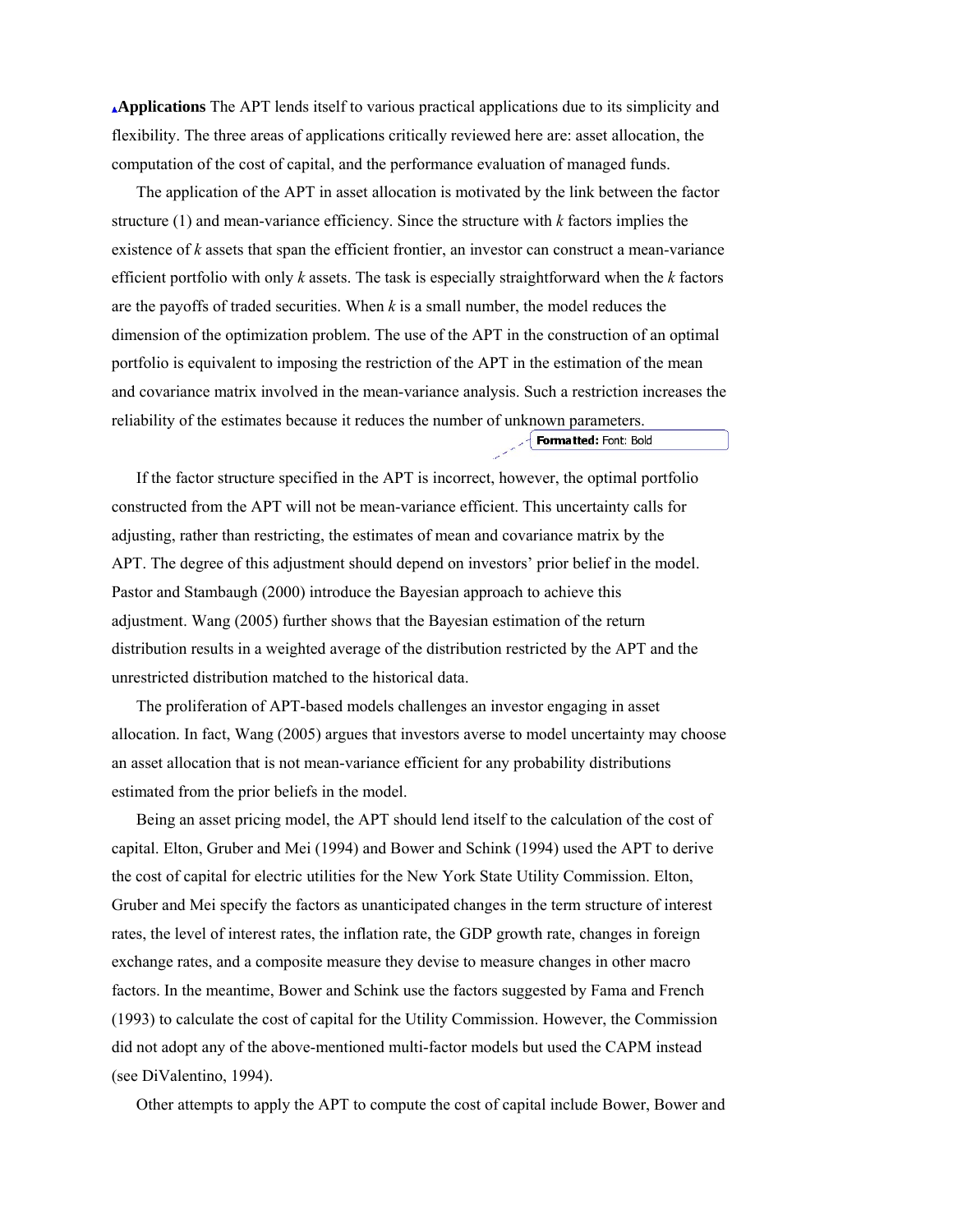**Applications** The APT lends itself to various practical applications due to its simplicity and flexibility. The three areas of applications critically reviewed here are: asset allocation, the computation of the cost of capital, and the performance evaluation of managed funds.

The application of the APT in asset allocation is motivated by the link between the factor structure (1) and mean-variance efficiency. Since the structure with *k* factors implies the existence of *k* assets that span the efficient frontier, an investor can construct a mean-variance efficient portfolio with only *k* assets. The task is especially straightforward when the *k* factors are the payoffs of traded securities. When *k* is a small number, the model reduces the dimension of the optimization problem. The use of the APT in the construction of an optimal portfolio is equivalent to imposing the restriction of the APT in the estimation of the mean and covariance matrix involved in the mean-variance analysis. Such a restriction increases the reliability of the estimates because it reduces the number of unknown parameters.

Formatted: Font: Bold

If the factor structure specified in the APT is incorrect, however, the optimal portfolio constructed from the APT will not be mean-variance efficient. This uncertainty calls for adjusting, rather than restricting, the estimates of mean and covariance matrix by the APT. The degree of this adjustment should depend on investors' prior belief in the model. Pastor and Stambaugh (2000) introduce the Bayesian approach to achieve this adjustment. Wang (2005) further shows that the Bayesian estimation of the return distribution results in a weighted average of the distribution restricted by the APT and the unrestricted distribution matched to the historical data.

The proliferation of APT-based models challenges an investor engaging in asset allocation. In fact, Wang (2005) argues that investors averse to model uncertainty may choose an asset allocation that is not mean-variance efficient for any probability distributions estimated from the prior beliefs in the model.

Being an asset pricing model, the APT should lend itself to the calculation of the cost of capital. Elton, Gruber and Mei (1994) and Bower and Schink (1994) used the APT to derive the cost of capital for electric utilities for the New York State Utility Commission. Elton, Gruber and Mei specify the factors as unanticipated changes in the term structure of interest rates, the level of interest rates, the inflation rate, the GDP growth rate, changes in foreign exchange rates, and a composite measure they devise to measure changes in other macro factors. In the meantime, Bower and Schink use the factors suggested by Fama and French (1993) to calculate the cost of capital for the Utility Commission. However, the Commission did not adopt any of the above-mentioned multi-factor models but used the CAPM instead (see DiValentino, 1994).

Other attempts to apply the APT to compute the cost of capital include Bower, Bower and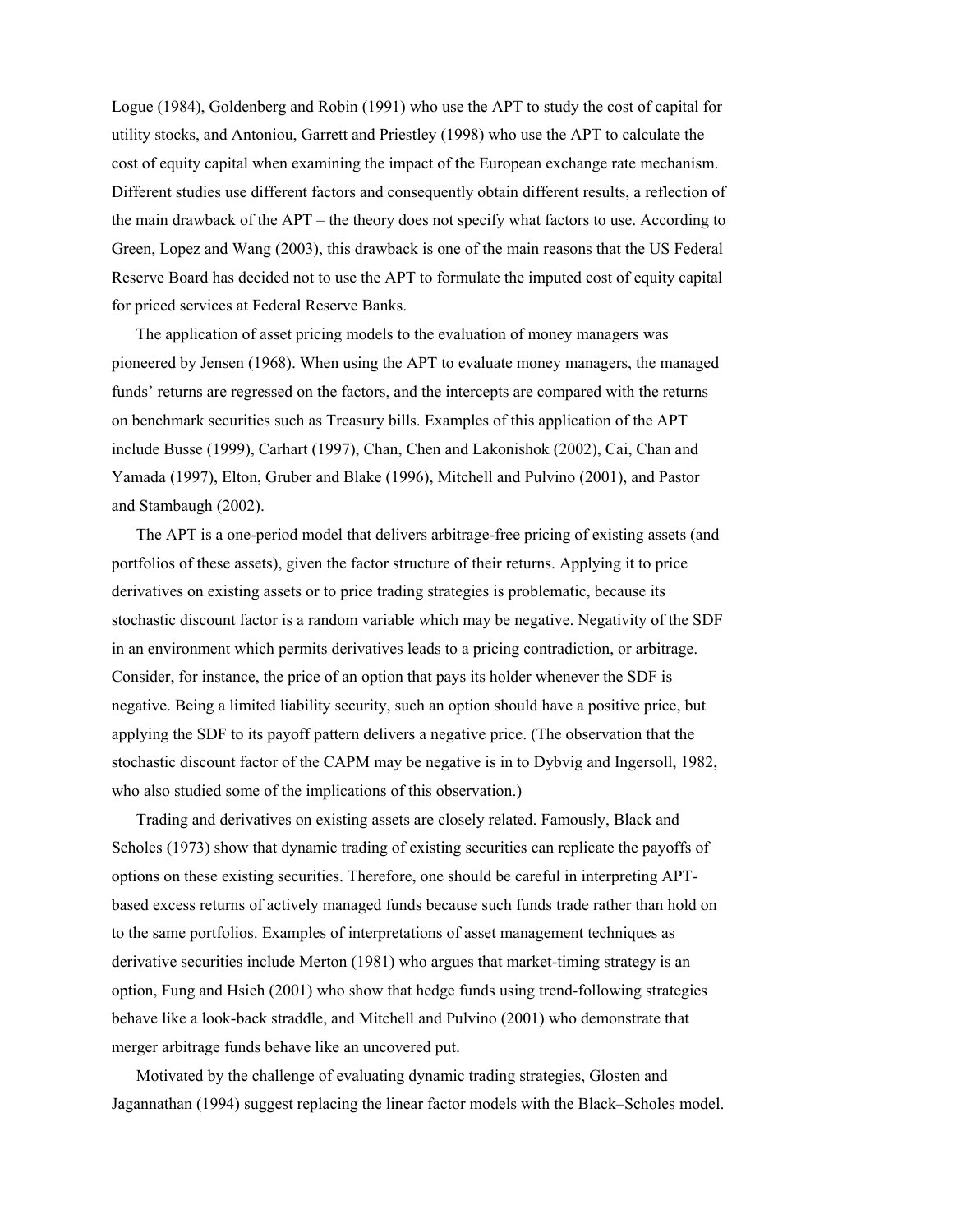Logue (1984), Goldenberg and Robin (1991) who use the APT to study the cost of capital for utility stocks, and Antoniou, Garrett and Priestley (1998) who use the APT to calculate the cost of equity capital when examining the impact of the European exchange rate mechanism. Different studies use different factors and consequently obtain different results, a reflection of the main drawback of the APT – the theory does not specify what factors to use. According to Green, Lopez and Wang (2003), this drawback is one of the main reasons that the US Federal Reserve Board has decided not to use the APT to formulate the imputed cost of equity capital for priced services at Federal Reserve Banks.

The application of asset pricing models to the evaluation of money managers was pioneered by Jensen (1968). When using the APT to evaluate money managers, the managed funds' returns are regressed on the factors, and the intercepts are compared with the returns on benchmark securities such as Treasury bills. Examples of this application of the APT include Busse (1999), Carhart (1997), Chan, Chen and Lakonishok (2002), Cai, Chan and Yamada (1997), Elton, Gruber and Blake (1996), Mitchell and Pulvino (2001), and Pastor and Stambaugh (2002).

The APT is a one-period model that delivers arbitrage-free pricing of existing assets (and portfolios of these assets), given the factor structure of their returns. Applying it to price derivatives on existing assets or to price trading strategies is problematic, because its stochastic discount factor is a random variable which may be negative. Negativity of the SDF in an environment which permits derivatives leads to a pricing contradiction, or arbitrage. Consider, for instance, the price of an option that pays its holder whenever the SDF is negative. Being a limited liability security, such an option should have a positive price, but applying the SDF to its payoff pattern delivers a negative price. (The observation that the stochastic discount factor of the CAPM may be negative is in to Dybvig and Ingersoll, 1982, who also studied some of the implications of this observation.)

Trading and derivatives on existing assets are closely related. Famously, Black and Scholes (1973) show that dynamic trading of existing securities can replicate the payoffs of options on these existing securities. Therefore, one should be careful in interpreting APTbased excess returns of actively managed funds because such funds trade rather than hold on to the same portfolios. Examples of interpretations of asset management techniques as derivative securities include Merton (1981) who argues that market-timing strategy is an option, Fung and Hsieh (2001) who show that hedge funds using trend-following strategies behave like a look-back straddle, and Mitchell and Pulvino (2001) who demonstrate that merger arbitrage funds behave like an uncovered put.

Motivated by the challenge of evaluating dynamic trading strategies, Glosten and Jagannathan (1994) suggest replacing the linear factor models with the Black–Scholes model.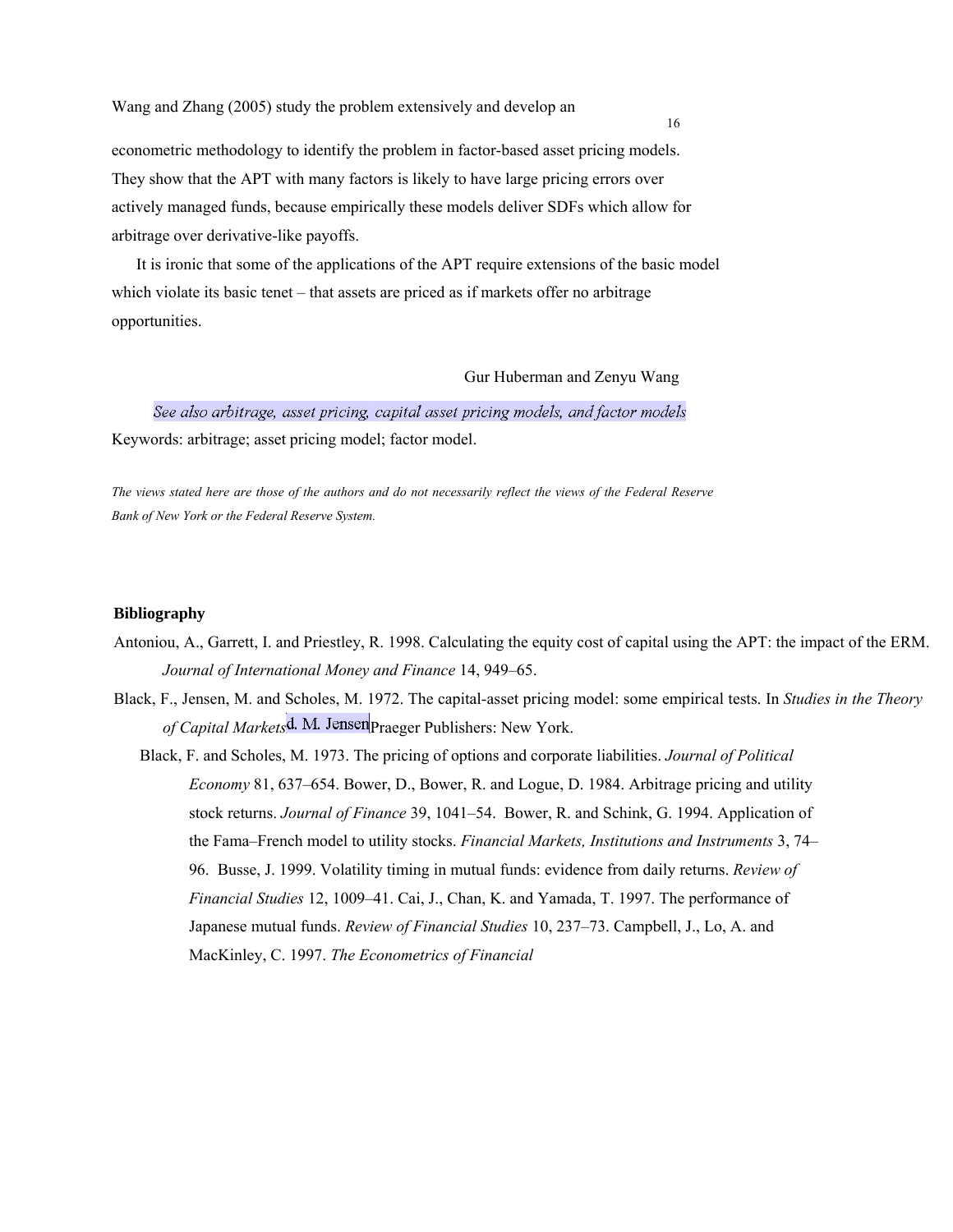econometric methodology to identify the problem in factor-based asset pricing models. They show that the APT with many factors is likely to have large pricing errors over actively managed funds, because empirically these models deliver SDFs which allow for arbitrage over derivative-like payoffs.

It is ironic that some of the applications of the APT require extensions of the basic model which violate its basic tenet – that assets are priced as if markets offer no arbitrage opportunities.

# Gur Huberman and Zenyu Wang

See also arbitrage, asset pricing, capital asset pricing models, and factor models Keywords: arbitrage; asset pricing model; factor model.

*The views stated here are those of the authors and do not necessarily reflect the views of the Federal Reserve Bank of New York or the Federal Reserve System.* 

# **Bibliography**

- Antoniou, A., Garrett, I. and Priestley, R. 1998. Calculating the equity cost of capital using the APT: the impact of the ERM. *Journal of International Money and Finance* 14, 949–65.
- Black, F., Jensen, M. and Scholes, M. 1972. The capital-asset pricing model: some empirical tests. In *Studies in the Theory of Capital Markets*<sup>d.</sup> M. Jensen Praeger Publishers: New York.

Black, F. and Scholes, M. 1973. The pricing of options and corporate liabilities. *Journal of Political Economy* 81, 637–654. Bower, D., Bower, R. and Logue, D. 1984. Arbitrage pricing and utility stock returns. *Journal of Finance* 39, 1041–54. Bower, R. and Schink, G. 1994. Application of the Fama–French model to utility stocks. *Financial Markets, Institutions and Instruments* 3, 74– 96. Busse, J. 1999. Volatility timing in mutual funds: evidence from daily returns. *Review of Financial Studies* 12, 1009–41. Cai, J., Chan, K. and Yamada, T. 1997. The performance of Japanese mutual funds. *Review of Financial Studies* 10, 237–73. Campbell, J., Lo, A. and MacKinley, C. 1997. *The Econometrics of Financial*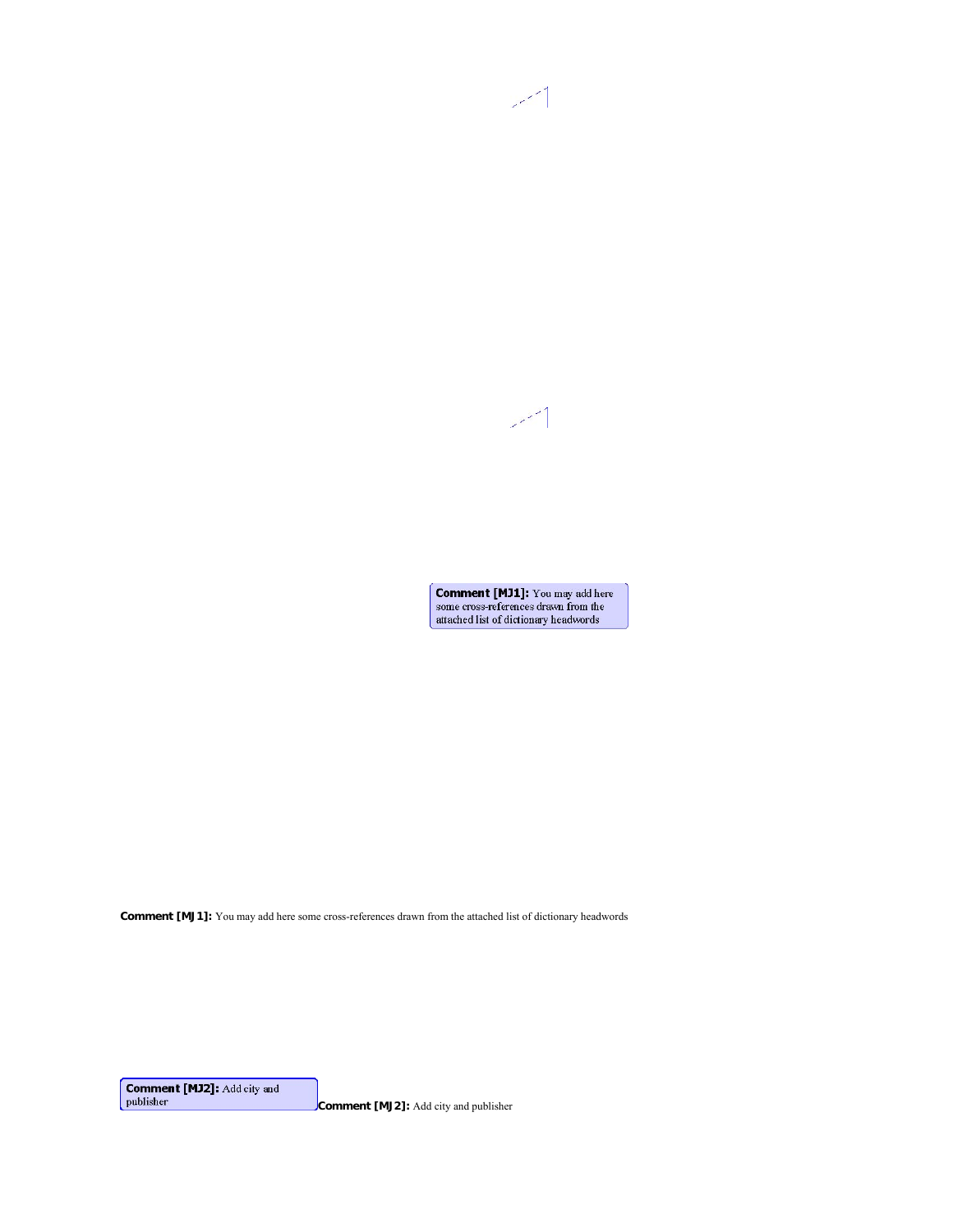

 $\mathbb{R}^{\mathbb{R}^2}$ 

 $\sim$   $\sim$   $\sim$   $\sim$   $\sim$ 

**Comment [MJ1]:** You may add here<br>some cross-references drawn from the<br>attached list of dictionary headwords

**Comment [MJ1]:** You may add here some cross-references drawn from the attached list of dictionary headwords

**Comment [MJ2]:** Add city and publisher

**Comment [MJ2]:** Add city and publisher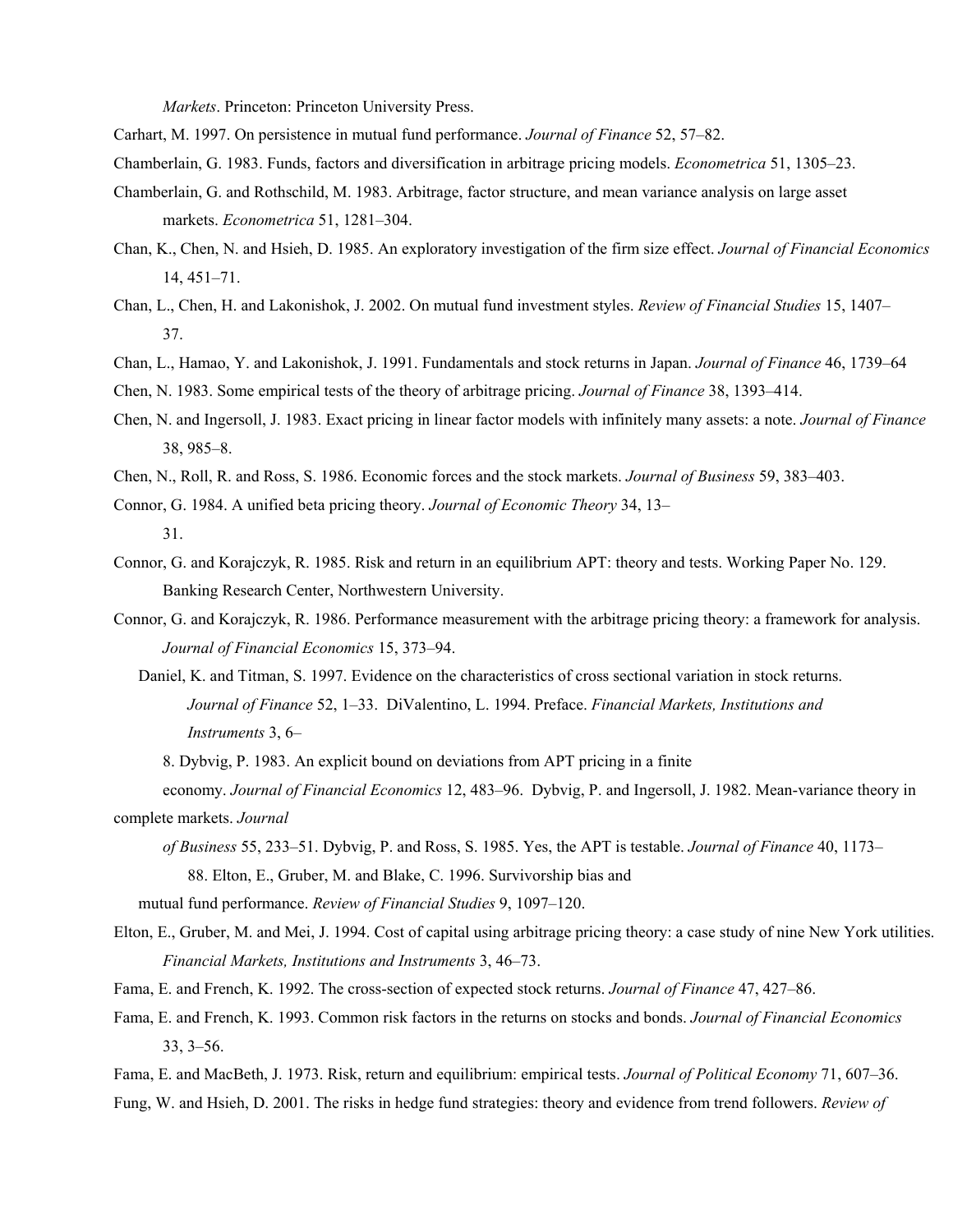*Markets*. Princeton: Princeton University Press.

- Carhart, M. 1997. On persistence in mutual fund performance. *Journal of Finance* 52, 57–82.
- Chamberlain, G. 1983. Funds, factors and diversification in arbitrage pricing models. *Econometrica* 51, 1305–23.
- Chamberlain, G. and Rothschild, M. 1983. Arbitrage, factor structure, and mean variance analysis on large asset markets. *Econometrica* 51, 1281–304.
- Chan, K., Chen, N. and Hsieh, D. 1985. An exploratory investigation of the firm size effect. *Journal of Financial Economics* 14, 451–71.
- Chan, L., Chen, H. and Lakonishok, J. 2002. On mutual fund investment styles. *Review of Financial Studies* 15, 1407– 37.
- Chan, L., Hamao, Y. and Lakonishok, J. 1991. Fundamentals and stock returns in Japan. *Journal of Finance* 46, 1739–64
- Chen, N. 1983. Some empirical tests of the theory of arbitrage pricing. *Journal of Finance* 38, 1393–414.
- Chen, N. and Ingersoll, J. 1983. Exact pricing in linear factor models with infinitely many assets: a note. *Journal of Finance* 38, 985–8.
- Chen, N., Roll, R. and Ross, S. 1986. Economic forces and the stock markets. *Journal of Business* 59, 383–403.
- Connor, G. 1984. A unified beta pricing theory. *Journal of Economic Theory* 34, 13–
	- 31.
- Connor, G. and Korajczyk, R. 1985. Risk and return in an equilibrium APT: theory and tests. Working Paper No. 129. Banking Research Center, Northwestern University.
- Connor, G. and Korajczyk, R. 1986. Performance measurement with the arbitrage pricing theory: a framework for analysis. *Journal of Financial Economics* 15, 373–94.
	- Daniel, K. and Titman, S. 1997. Evidence on the characteristics of cross sectional variation in stock returns. *Journal of Finance* 52, 1–33. DiValentino, L. 1994. Preface. *Financial Markets, Institutions and Instruments* 3, 6–
		- 8. Dybvig, P. 1983. An explicit bound on deviations from APT pricing in a finite
- economy. *Journal of Financial Economics* 12, 483–96. Dybvig, P. and Ingersoll, J. 1982. Mean-variance theory in complete markets. *Journal* 
	- *of Business* 55, 233–51. Dybvig, P. and Ross, S. 1985. Yes, the APT is testable. *Journal of Finance* 40, 1173– 88. Elton, E., Gruber, M. and Blake, C. 1996. Survivorship bias and mutual fund performance. *Review of Financial Studies* 9, 1097–120.
	-
- Elton, E., Gruber, M. and Mei, J. 1994. Cost of capital using arbitrage pricing theory: a case study of nine New York utilities. *Financial Markets, Institutions and Instruments* 3, 46–73.
- Fama, E. and French, K. 1992. The cross-section of expected stock returns. *Journal of Finance* 47, 427–86.
- Fama, E. and French, K. 1993. Common risk factors in the returns on stocks and bonds. *Journal of Financial Economics* 33, 3–56.
- Fama, E. and MacBeth, J. 1973. Risk, return and equilibrium: empirical tests. *Journal of Political Economy* 71, 607–36.
- Fung, W. and Hsieh, D. 2001. The risks in hedge fund strategies: theory and evidence from trend followers. *Review of*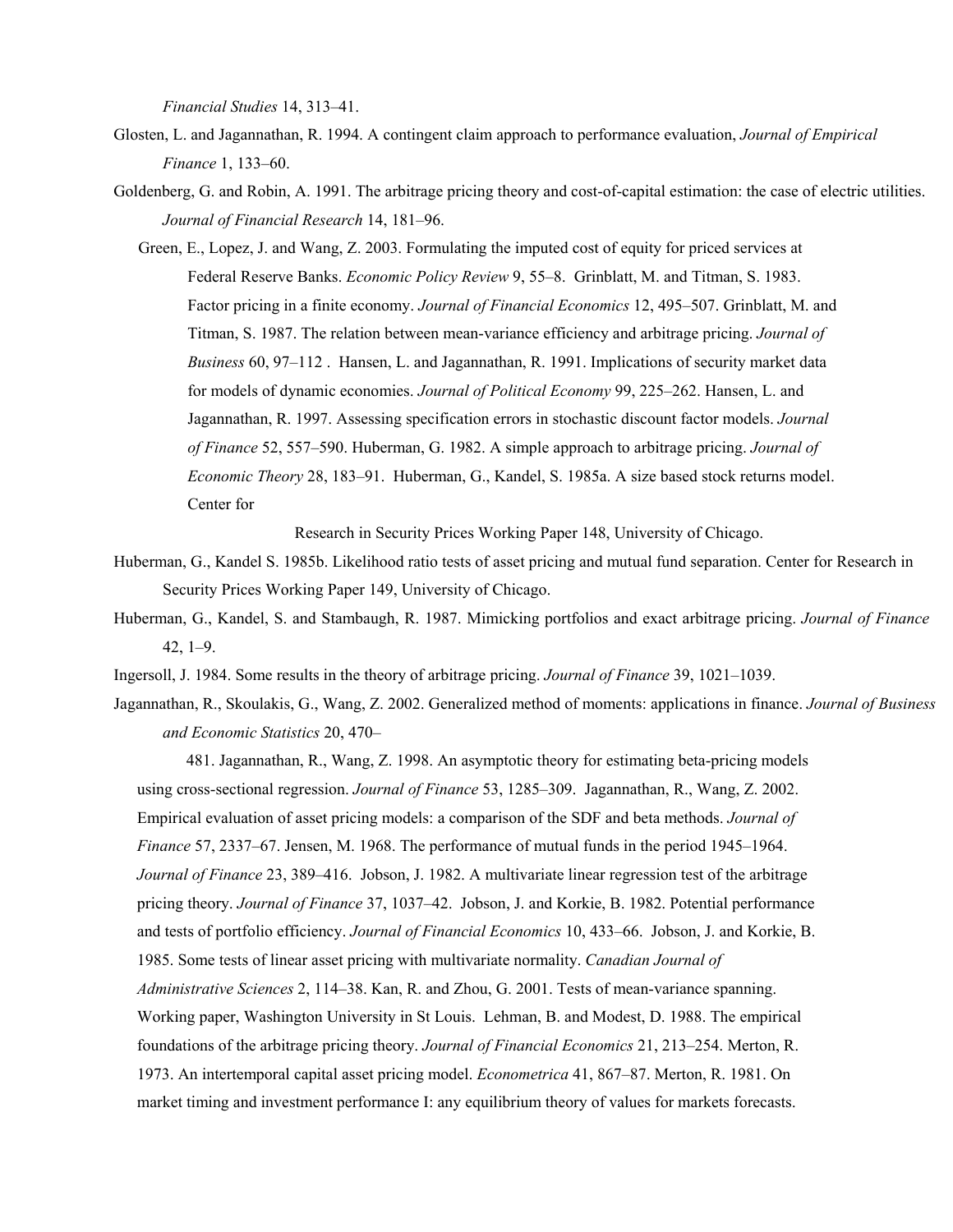*Financial Studies* 14, 313–41.

- Glosten, L. and Jagannathan, R. 1994. A contingent claim approach to performance evaluation, *Journal of Empirical Finance* 1, 133–60.
- Goldenberg, G. and Robin, A. 1991. The arbitrage pricing theory and cost-of-capital estimation: the case of electric utilities. *Journal of Financial Research* 14, 181–96.

Green, E., Lopez, J. and Wang, Z. 2003. Formulating the imputed cost of equity for priced services at Federal Reserve Banks. *Economic Policy Review* 9, 55–8. Grinblatt, M. and Titman, S. 1983. Factor pricing in a finite economy. *Journal of Financial Economics* 12, 495–507. Grinblatt, M. and Titman, S. 1987. The relation between mean-variance efficiency and arbitrage pricing. *Journal of Business* 60, 97–112 . Hansen, L. and Jagannathan, R. 1991. Implications of security market data for models of dynamic economies. *Journal of Political Economy* 99, 225–262. Hansen, L. and Jagannathan, R. 1997. Assessing specification errors in stochastic discount factor models. *Journal of Finance* 52, 557–590. Huberman, G. 1982. A simple approach to arbitrage pricing. *Journal of Economic Theory* 28, 183–91. Huberman, G., Kandel, S. 1985a. A size based stock returns model. Center for

Research in Security Prices Working Paper 148, University of Chicago.

- Huberman, G., Kandel S. 1985b. Likelihood ratio tests of asset pricing and mutual fund separation. Center for Research in Security Prices Working Paper 149, University of Chicago.
- Huberman, G., Kandel, S. and Stambaugh, R. 1987. Mimicking portfolios and exact arbitrage pricing. *Journal of Finance*  42, 1–9.
- Ingersoll, J. 1984. Some results in the theory of arbitrage pricing. *Journal of Finance* 39, 1021–1039.

Jagannathan, R., Skoulakis, G., Wang, Z. 2002. Generalized method of moments: applications in finance. *Journal of Business and Economic Statistics* 20, 470–

481. Jagannathan, R., Wang, Z. 1998. An asymptotic theory for estimating beta-pricing models using cross-sectional regression. *Journal of Finance* 53, 1285–309. Jagannathan, R., Wang, Z. 2002. Empirical evaluation of asset pricing models: a comparison of the SDF and beta methods. *Journal of Finance* 57, 2337–67. Jensen, M. 1968. The performance of mutual funds in the period 1945–1964. *Journal of Finance* 23, 389–416. Jobson, J. 1982. A multivariate linear regression test of the arbitrage pricing theory. *Journal of Finance* 37, 1037–42. Jobson, J. and Korkie, B. 1982. Potential performance and tests of portfolio efficiency. *Journal of Financial Economics* 10, 433–66. Jobson, J. and Korkie, B. 1985. Some tests of linear asset pricing with multivariate normality. *Canadian Journal of Administrative Sciences* 2, 114–38. Kan, R. and Zhou, G. 2001. Tests of mean-variance spanning. Working paper, Washington University in St Louis. Lehman, B. and Modest, D. 1988. The empirical foundations of the arbitrage pricing theory. *Journal of Financial Economics* 21, 213–254. Merton, R. 1973. An intertemporal capital asset pricing model. *Econometrica* 41, 867–87. Merton, R. 1981. On market timing and investment performance I: any equilibrium theory of values for markets forecasts.